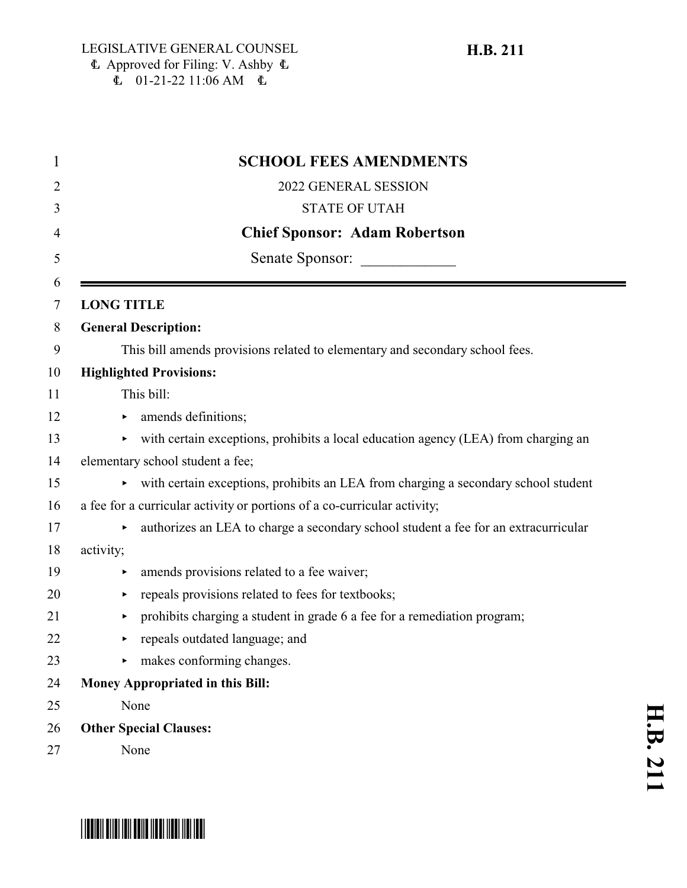## $\Phi$  Approved for Filing: V. Ashby  $\Phi$  $\overline{6}$  01-21-22 11:06 AM  $\overline{6}$

| <b>SCHOOL FEES AMENDMENTS</b>                                                                 |
|-----------------------------------------------------------------------------------------------|
| 2022 GENERAL SESSION                                                                          |
| <b>STATE OF UTAH</b>                                                                          |
| <b>Chief Sponsor: Adam Robertson</b>                                                          |
| Senate Sponsor:                                                                               |
| <b>LONG TITLE</b>                                                                             |
| <b>General Description:</b>                                                                   |
| This bill amends provisions related to elementary and secondary school fees.                  |
| <b>Highlighted Provisions:</b>                                                                |
| This bill:                                                                                    |
| amends definitions;                                                                           |
| with certain exceptions, prohibits a local education agency (LEA) from charging an            |
| elementary school student a fee;                                                              |
| ighthrough with certain exceptions, prohibits an LEA from charging a secondary school student |
| a fee for a curricular activity or portions of a co-curricular activity;                      |
| authorizes an LEA to charge a secondary school student a fee for an extracurricular           |
| activity;                                                                                     |
| amends provisions related to a fee waiver;                                                    |
| repeals provisions related to fees for textbooks;<br>▶                                        |
| prohibits charging a student in grade 6 a fee for a remediation program;<br>٠                 |
| repeals outdated language; and                                                                |
| makes conforming changes.                                                                     |
| <b>Money Appropriated in this Bill:</b>                                                       |
| None                                                                                          |
| <b>Other Special Clauses:</b>                                                                 |
| None                                                                                          |

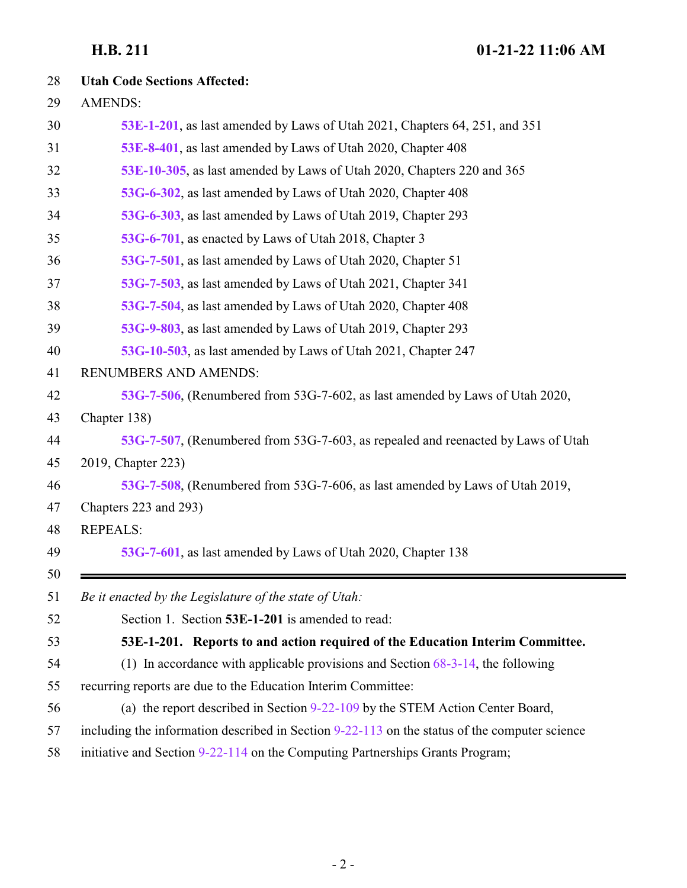<span id="page-1-0"></span>

| 28       | <b>Utah Code Sections Affected:</b>                                                             |
|----------|-------------------------------------------------------------------------------------------------|
| 29       | <b>AMENDS:</b>                                                                                  |
| 30       | 53E-1-201, as last amended by Laws of Utah 2021, Chapters 64, 251, and 351                      |
| 31       | 53E-8-401, as last amended by Laws of Utah 2020, Chapter 408                                    |
| 32       | 53E-10-305, as last amended by Laws of Utah 2020, Chapters 220 and 365                          |
| 33       | 53G-6-302, as last amended by Laws of Utah 2020, Chapter 408                                    |
| 34       | 53G-6-303, as last amended by Laws of Utah 2019, Chapter 293                                    |
| 35       | 53G-6-701, as enacted by Laws of Utah 2018, Chapter 3                                           |
| 36       | 53G-7-501, as last amended by Laws of Utah 2020, Chapter 51                                     |
| 37       | 53G-7-503, as last amended by Laws of Utah 2021, Chapter 341                                    |
| 38       | 53G-7-504, as last amended by Laws of Utah 2020, Chapter 408                                    |
| 39       | 53G-9-803, as last amended by Laws of Utah 2019, Chapter 293                                    |
| 40       | 53G-10-503, as last amended by Laws of Utah 2021, Chapter 247                                   |
| 41       | RENUMBERS AND AMENDS:                                                                           |
| 42       | 53G-7-506, (Renumbered from 53G-7-602, as last amended by Laws of Utah 2020,                    |
| 43       | Chapter 138)                                                                                    |
| 44       | 53G-7-507, (Renumbered from 53G-7-603, as repealed and reenacted by Laws of Utah                |
| 45       | 2019, Chapter 223)                                                                              |
| 46       | 53G-7-508, (Renumbered from 53G-7-606, as last amended by Laws of Utah 2019,                    |
| 47       | Chapters 223 and 293)                                                                           |
| 48       | <b>REPEALS:</b>                                                                                 |
| 49       | 53G-7-601, as last amended by Laws of Utah 2020, Chapter 138                                    |
| 50<br>51 | Be it enacted by the Legislature of the state of Utah:                                          |
| 52       | Section 1. Section 53E-1-201 is amended to read:                                                |
| 53       | 53E-1-201. Reports to and action required of the Education Interim Committee.                   |
| 54       | (1) In accordance with applicable provisions and Section $68-3-14$ , the following              |
| 55       | recurring reports are due to the Education Interim Committee:                                   |
| 56       | (a) the report described in Section 9-22-109 by the STEM Action Center Board,                   |
| 57       | including the information described in Section $9-22-113$ on the status of the computer science |
| 58       | initiative and Section 9-22-114 on the Computing Partnerships Grants Program;                   |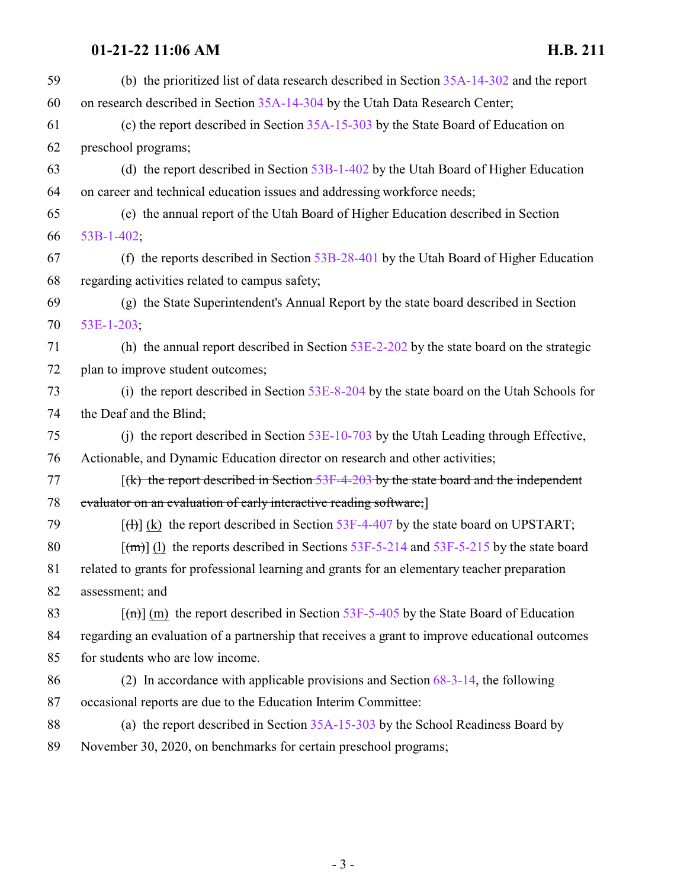| 59 | (b) the prioritized list of data research described in Section $35A-14-302$ and the report     |
|----|------------------------------------------------------------------------------------------------|
| 60 | on research described in Section 35A-14-304 by the Utah Data Research Center;                  |
| 61 | (c) the report described in Section $35A-15-303$ by the State Board of Education on            |
| 62 | preschool programs;                                                                            |
| 63 | (d) the report described in Section $53B-1-402$ by the Utah Board of Higher Education          |
| 64 | on career and technical education issues and addressing workforce needs;                       |
| 65 | (e) the annual report of the Utah Board of Higher Education described in Section               |
| 66 | $53B-1-402$ ;                                                                                  |
| 67 | (f) the reports described in Section $53B-28-401$ by the Utah Board of Higher Education        |
| 68 | regarding activities related to campus safety;                                                 |
| 69 | (g) the State Superintendent's Annual Report by the state board described in Section           |
| 70 | 53E-1-203;                                                                                     |
| 71 | (h) the annual report described in Section $53E-2-202$ by the state board on the strategic     |
| 72 | plan to improve student outcomes;                                                              |
| 73 | (i) the report described in Section 53E-8-204 by the state board on the Utah Schools for       |
| 74 | the Deaf and the Blind;                                                                        |
| 75 | (i) the report described in Section $53E-10-703$ by the Utah Leading through Effective,        |
| 76 | Actionable, and Dynamic Education director on research and other activities;                   |
| 77 | $(x)$ the report described in Section 53F-4-203 by the state board and the independent         |
| 78 | evaluator on an evaluation of early interactive reading software; [1]                          |
| 79 | $[\text{H}](k)$ the report described in Section 53F-4-407 by the state board on UPSTART;       |
| 80 | $\lceil$ (m) (1) the reports described in Sections 53F-5-214 and 53F-5-215 by the state board  |
| 81 | related to grants for professional learning and grants for an elementary teacher preparation   |
| 82 | assessment; and                                                                                |
| 83 | $\lceil$ (m) (m) the report described in Section 53F-5-405 by the State Board of Education     |
| 84 | regarding an evaluation of a partnership that receives a grant to improve educational outcomes |
| 85 | for students who are low income.                                                               |
| 86 | (2) In accordance with applicable provisions and Section $68-3-14$ , the following             |
| 87 | occasional reports are due to the Education Interim Committee:                                 |
| 88 | (a) the report described in Section 35A-15-303 by the School Readiness Board by                |
| 89 | November 30, 2020, on benchmarks for certain preschool programs;                               |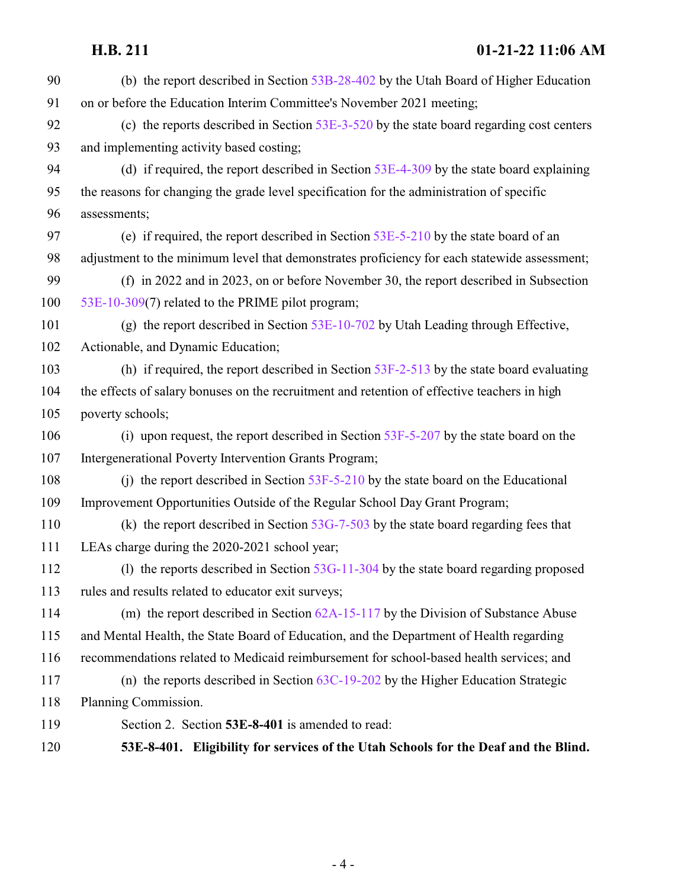<span id="page-3-0"></span> (b) the report described in Section [53B-28-402](http://le.utah.gov/UtahCode/SectionLookup.jsp?section=53b-28-402&session=2022GS) by the Utah Board of Higher Education on or before the Education Interim Committee's November 2021 meeting; (c) the reports described in Section [53E-3-520](http://le.utah.gov/UtahCode/SectionLookup.jsp?section=53e-3-520&session=2022GS) by the state board regarding cost centers and implementing activity based costing; (d) if required, the report described in Section [53E-4-309](http://le.utah.gov/UtahCode/SectionLookup.jsp?section=53e-4-309&session=2022GS) by the state board explaining the reasons for changing the grade level specification for the administration of specific assessments; (e) if required, the report described in Section [53E-5-210](http://le.utah.gov/UtahCode/SectionLookup.jsp?section=53e-5-210&session=2022GS) by the state board of an adjustment to the minimum level that demonstrates proficiency for each statewide assessment; (f) in 2022 and in 2023, on or before November 30, the report described in Subsection [53E-10-309](http://le.utah.gov/UtahCode/SectionLookup.jsp?section=53e-10-309&session=2022GS)(7) related to the PRIME pilot program; (g) the report described in Section [53E-10-702](http://le.utah.gov/UtahCode/SectionLookup.jsp?section=53e-10-702&session=2022GS) by Utah Leading through Effective, Actionable, and Dynamic Education; (h) if required, the report described in Section [53F-2-513](http://le.utah.gov/UtahCode/SectionLookup.jsp?section=53f-2-513&session=2022GS) by the state board evaluating the effects of salary bonuses on the recruitment and retention of effective teachers in high poverty schools; 106 (i) upon request, the report described in Section [53F-5-207](http://le.utah.gov/UtahCode/SectionLookup.jsp?section=53f-5-207&session=2022GS) by the state board on the Intergenerational Poverty Intervention Grants Program; (j) the report described in Section [53F-5-210](http://le.utah.gov/UtahCode/SectionLookup.jsp?section=53f-5-210&session=2022GS) by the state board on the Educational Improvement Opportunities Outside of the Regular School Day Grant Program; (k) the report described in Section [53G-7-503](#page-16-0) by the state board regarding fees that LEAs charge during the 2020-2021 school year; (l) the reports described in Section [53G-11-304](http://le.utah.gov/UtahCode/SectionLookup.jsp?section=53g-11-304&session=2022GS) by the state board regarding proposed rules and results related to educator exit surveys; (m) the report described in Section [62A-15-117](http://le.utah.gov/UtahCode/SectionLookup.jsp?section=62a-15-117&session=2022GS) by the Division of Substance Abuse and Mental Health, the State Board of Education, and the Department of Health regarding recommendations related to Medicaid reimbursement for school-based health services; and (n) the reports described in Section [63C-19-202](http://le.utah.gov/UtahCode/SectionLookup.jsp?section=63c-19-202&session=2022GS) by the Higher Education Strategic Planning Commission. Section 2. Section **53E-8-401** is amended to read: **53E-8-401. Eligibility for services of the Utah Schools for the Deaf and the Blind.**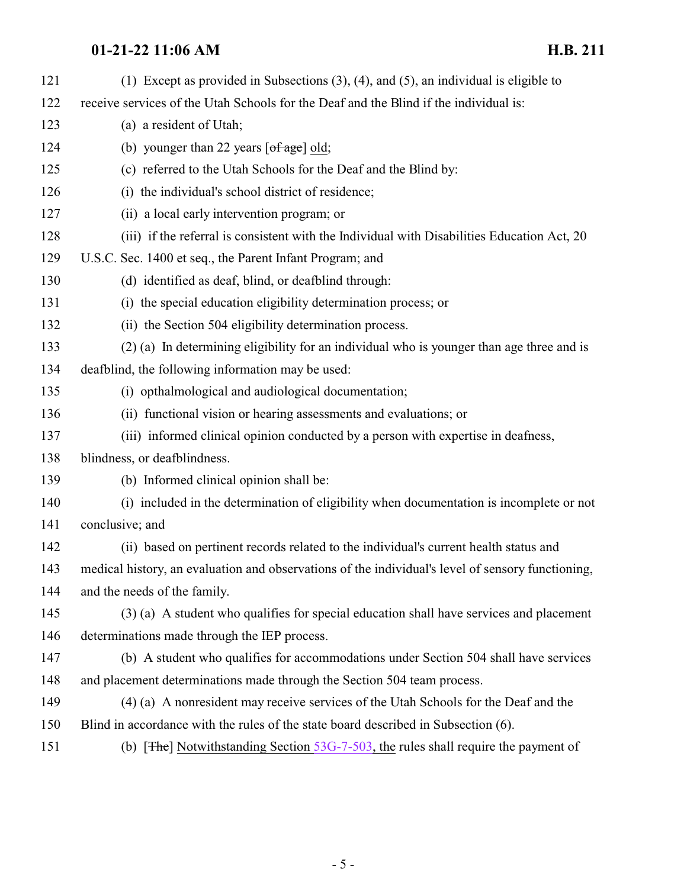| 121 | (1) Except as provided in Subsections $(3)$ , $(4)$ , and $(5)$ , an individual is eligible to    |
|-----|---------------------------------------------------------------------------------------------------|
| 122 | receive services of the Utah Schools for the Deaf and the Blind if the individual is:             |
| 123 | (a) a resident of Utah;                                                                           |
| 124 | (b) younger than 22 years $\lceil \text{of age} \rceil$ old;                                      |
| 125 | (c) referred to the Utah Schools for the Deaf and the Blind by:                                   |
| 126 | (i) the individual's school district of residence;                                                |
| 127 | (ii) a local early intervention program; or                                                       |
| 128 | (iii) if the referral is consistent with the Individual with Disabilities Education Act, 20       |
| 129 | U.S.C. Sec. 1400 et seq., the Parent Infant Program; and                                          |
| 130 | (d) identified as deaf, blind, or deafblind through:                                              |
| 131 | (i) the special education eligibility determination process; or                                   |
| 132 | (ii) the Section 504 eligibility determination process.                                           |
| 133 | (2) (a) In determining eligibility for an individual who is younger than age three and is         |
| 134 | deafblind, the following information may be used:                                                 |
| 135 | (i) opthalmological and audiological documentation;                                               |
| 136 | (ii) functional vision or hearing assessments and evaluations; or                                 |
| 137 | (iii) informed clinical opinion conducted by a person with expertise in deafness,                 |
| 138 | blindness, or deafblindness.                                                                      |
| 139 | (b) Informed clinical opinion shall be:                                                           |
| 140 | (i) included in the determination of eligibility when documentation is incomplete or not          |
| 141 | conclusive; and                                                                                   |
| 142 | (ii) based on pertinent records related to the individual's current health status and             |
| 143 | medical history, an evaluation and observations of the individual's level of sensory functioning, |
| 144 | and the needs of the family.                                                                      |
| 145 | (3) (a) A student who qualifies for special education shall have services and placement           |
| 146 | determinations made through the IEP process.                                                      |
| 147 | (b) A student who qualifies for accommodations under Section 504 shall have services              |
| 148 | and placement determinations made through the Section 504 team process.                           |
| 149 | (4) (a) A nonresident may receive services of the Utah Schools for the Deaf and the               |
| 150 | Blind in accordance with the rules of the state board described in Subsection (6).                |
| 151 | (b) [ $\pi$ he] Notwithstanding Section 53G-7-503, the rules shall require the payment of         |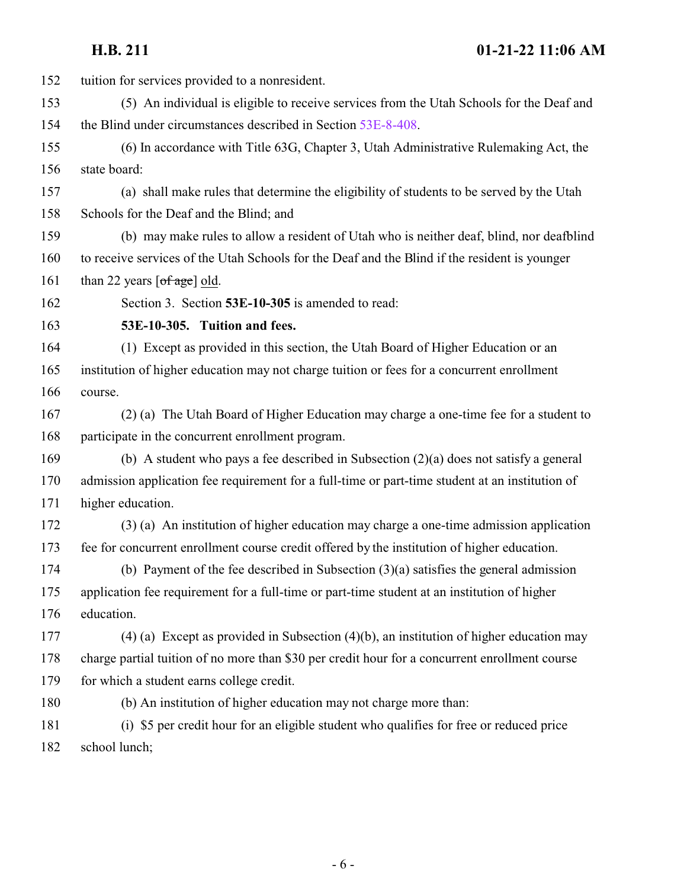<span id="page-5-0"></span>

| 152 | tuition for services provided to a nonresident.                                                 |
|-----|-------------------------------------------------------------------------------------------------|
| 153 | (5) An individual is eligible to receive services from the Utah Schools for the Deaf and        |
| 154 | the Blind under circumstances described in Section 53E-8-408.                                   |
| 155 | (6) In accordance with Title 63G, Chapter 3, Utah Administrative Rulemaking Act, the            |
| 156 | state board:                                                                                    |
| 157 | (a) shall make rules that determine the eligibility of students to be served by the Utah        |
| 158 | Schools for the Deaf and the Blind; and                                                         |
| 159 | (b) may make rules to allow a resident of Utah who is neither deaf, blind, nor deafblind        |
| 160 | to receive services of the Utah Schools for the Deaf and the Blind if the resident is younger   |
| 161 | than 22 years $\lceil \text{of age} \rceil$ old.                                                |
| 162 | Section 3. Section 53E-10-305 is amended to read:                                               |
| 163 | 53E-10-305. Tuition and fees.                                                                   |
| 164 | (1) Except as provided in this section, the Utah Board of Higher Education or an                |
| 165 | institution of higher education may not charge tuition or fees for a concurrent enrollment      |
| 166 | course.                                                                                         |
| 167 | (2) (a) The Utah Board of Higher Education may charge a one-time fee for a student to           |
| 168 | participate in the concurrent enrollment program.                                               |
| 169 | (b) A student who pays a fee described in Subsection $(2)(a)$ does not satisfy a general        |
| 170 | admission application fee requirement for a full-time or part-time student at an institution of |
| 171 | higher education.                                                                               |
| 172 | (3) (a) An institution of higher education may charge a one-time admission application          |
| 173 | fee for concurrent enrollment course credit offered by the institution of higher education.     |
| 174 | (b) Payment of the fee described in Subsection $(3)(a)$ satisfies the general admission         |
| 175 | application fee requirement for a full-time or part-time student at an institution of higher    |
| 176 | education.                                                                                      |
| 177 | $(4)$ (a) Except as provided in Subsection $(4)(b)$ , an institution of higher education may    |
| 178 | charge partial tuition of no more than \$30 per credit hour for a concurrent enrollment course  |
| 179 | for which a student earns college credit.                                                       |
| 180 | (b) An institution of higher education may not charge more than:                                |
| 181 | (i) \$5 per credit hour for an eligible student who qualifies for free or reduced price         |
| 182 | school lunch;                                                                                   |
|     |                                                                                                 |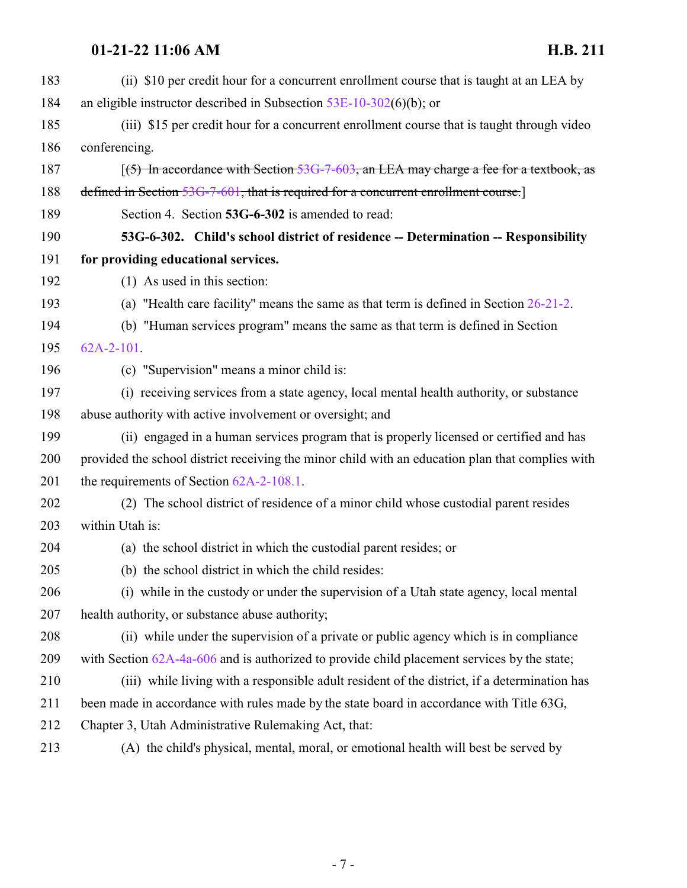<span id="page-6-0"></span>

| 183 | (ii) \$10 per credit hour for a concurrent enrollment course that is taught at an LEA by         |
|-----|--------------------------------------------------------------------------------------------------|
| 184 | an eligible instructor described in Subsection $53E-10-302(6)(b)$ ; or                           |
| 185 | (iii) \$15 per credit hour for a concurrent enrollment course that is taught through video       |
| 186 | conferencing.                                                                                    |
| 187 | $(5)$ In accordance with Section 53G-7-603, an LEA may charge a fee for a textbook, as           |
| 188 | defined in Section 53G-7-601, that is required for a concurrent enrollment course.]              |
| 189 | Section 4. Section 53G-6-302 is amended to read:                                                 |
| 190 | 53G-6-302. Child's school district of residence -- Determination -- Responsibility               |
| 191 | for providing educational services.                                                              |
| 192 | $(1)$ As used in this section:                                                                   |
| 193 | (a) "Health care facility" means the same as that term is defined in Section $26-21-2$ .         |
| 194 | (b) "Human services program" means the same as that term is defined in Section                   |
| 195 | $62A-2-101$ .                                                                                    |
| 196 | (c) "Supervision" means a minor child is:                                                        |
| 197 | (i) receiving services from a state agency, local mental health authority, or substance          |
| 198 | abuse authority with active involvement or oversight; and                                        |
| 199 | (ii) engaged in a human services program that is properly licensed or certified and has          |
| 200 | provided the school district receiving the minor child with an education plan that complies with |
| 201 | the requirements of Section $62A-2-108.1$ .                                                      |
| 202 | (2) The school district of residence of a minor child whose custodial parent resides             |
| 203 | within Utah is:                                                                                  |
| 204 | (a) the school district in which the custodial parent resides; or                                |
| 205 | (b) the school district in which the child resides:                                              |
| 206 | (i) while in the custody or under the supervision of a Utah state agency, local mental           |
| 207 | health authority, or substance abuse authority;                                                  |
| 208 | (ii) while under the supervision of a private or public agency which is in compliance            |
| 209 | with Section $62A-4a-606$ and is authorized to provide child placement services by the state;    |
| 210 | (iii) while living with a responsible adult resident of the district, if a determination has     |
| 211 | been made in accordance with rules made by the state board in accordance with Title 63G,         |
| 212 | Chapter 3, Utah Administrative Rulemaking Act, that:                                             |
| 213 | (A) the child's physical, mental, moral, or emotional health will best be served by              |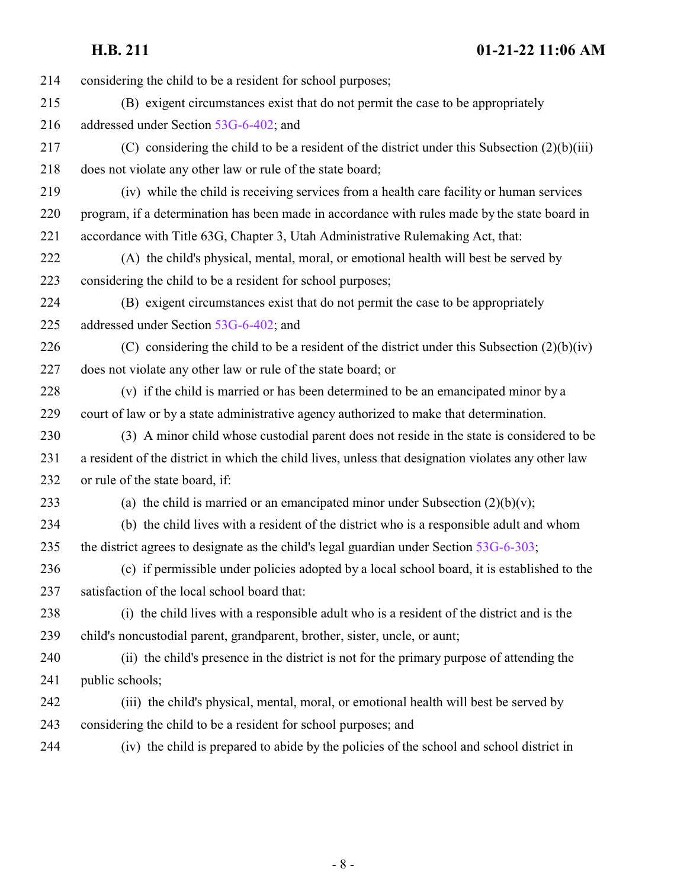| 214 | considering the child to be a resident for school purposes;                                         |
|-----|-----------------------------------------------------------------------------------------------------|
| 215 | (B) exigent circumstances exist that do not permit the case to be appropriately                     |
| 216 | addressed under Section 53G-6-402; and                                                              |
| 217 | (C) considering the child to be a resident of the district under this Subsection $(2)(b)(iii)$      |
| 218 | does not violate any other law or rule of the state board;                                          |
| 219 | (iv) while the child is receiving services from a health care facility or human services            |
| 220 | program, if a determination has been made in accordance with rules made by the state board in       |
| 221 | accordance with Title 63G, Chapter 3, Utah Administrative Rulemaking Act, that:                     |
| 222 | (A) the child's physical, mental, moral, or emotional health will best be served by                 |
| 223 | considering the child to be a resident for school purposes;                                         |
| 224 | (B) exigent circumstances exist that do not permit the case to be appropriately                     |
| 225 | addressed under Section 53G-6-402; and                                                              |
| 226 | (C) considering the child to be a resident of the district under this Subsection $(2)(b)(iv)$       |
| 227 | does not violate any other law or rule of the state board; or                                       |
| 228 | (v) if the child is married or has been determined to be an emancipated minor by a                  |
| 229 | court of law or by a state administrative agency authorized to make that determination.             |
| 230 | (3) A minor child whose custodial parent does not reside in the state is considered to be           |
| 231 | a resident of the district in which the child lives, unless that designation violates any other law |
| 232 | or rule of the state board, if:                                                                     |
| 233 | (a) the child is married or an emancipated minor under Subsection $(2)(b)(v)$ ;                     |
| 234 | (b) the child lives with a resident of the district who is a responsible adult and whom             |
| 235 | the district agrees to designate as the child's legal guardian under Section $53G-6-303$ ;          |
| 236 | (c) if permissible under policies adopted by a local school board, it is established to the         |
| 237 | satisfaction of the local school board that:                                                        |
| 238 | (i) the child lives with a responsible adult who is a resident of the district and is the           |
| 239 | child's noncustodial parent, grandparent, brother, sister, uncle, or aunt;                          |
| 240 | (ii) the child's presence in the district is not for the primary purpose of attending the           |
| 241 | public schools;                                                                                     |
| 242 | (iii) the child's physical, mental, moral, or emotional health will best be served by               |
| 243 | considering the child to be a resident for school purposes; and                                     |
| 244 | (iv) the child is prepared to abide by the policies of the school and school district in            |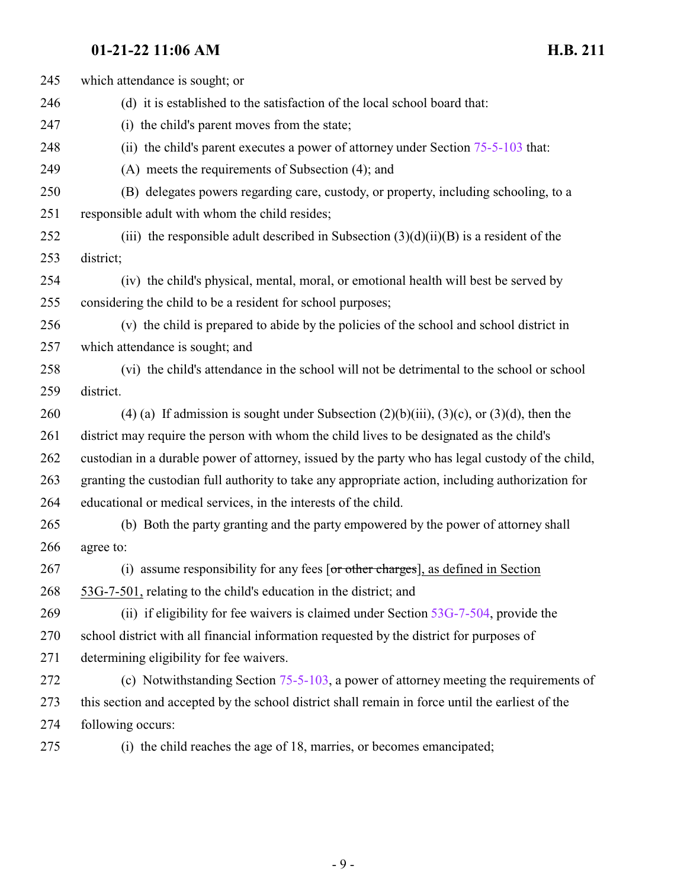| 245 | which attendance is sought; or                                                                    |
|-----|---------------------------------------------------------------------------------------------------|
| 246 | (d) it is established to the satisfaction of the local school board that:                         |
| 247 | (i) the child's parent moves from the state;                                                      |
| 248 | (ii) the child's parent executes a power of attorney under Section $75-5-103$ that:               |
| 249 | (A) meets the requirements of Subsection (4); and                                                 |
| 250 | (B) delegates powers regarding care, custody, or property, including schooling, to a              |
| 251 | responsible adult with whom the child resides;                                                    |
| 252 | (iii) the responsible adult described in Subsection $(3)(d)(ii)(B)$ is a resident of the          |
| 253 | district;                                                                                         |
| 254 | (iv) the child's physical, mental, moral, or emotional health will best be served by              |
| 255 | considering the child to be a resident for school purposes;                                       |
| 256 | (v) the child is prepared to abide by the policies of the school and school district in           |
| 257 | which attendance is sought; and                                                                   |
| 258 | (vi) the child's attendance in the school will not be detrimental to the school or school         |
| 259 | district.                                                                                         |
| 260 | (4) (a) If admission is sought under Subsection $(2)(b)(iii)$ , $(3)(c)$ , or $(3)(d)$ , then the |
| 261 | district may require the person with whom the child lives to be designated as the child's         |
| 262 | custodian in a durable power of attorney, issued by the party who has legal custody of the child, |
| 263 | granting the custodian full authority to take any appropriate action, including authorization for |
| 264 | educational or medical services, in the interests of the child.                                   |
| 265 | (b) Both the party granting and the party empowered by the power of attorney shall                |
| 266 | agree to:                                                                                         |
| 267 | (i) assume responsibility for any fees [or other charges], as defined in Section                  |
| 268 | 53G-7-501, relating to the child's education in the district; and                                 |
| 269 | (ii) if eligibility for fee waivers is claimed under Section $53G-7-504$ , provide the            |
| 270 | school district with all financial information requested by the district for purposes of          |
| 271 | determining eligibility for fee waivers.                                                          |
| 272 | (c) Notwithstanding Section $75-5-103$ , a power of attorney meeting the requirements of          |
| 273 | this section and accepted by the school district shall remain in force until the earliest of the  |
| 274 | following occurs:                                                                                 |
| 275 | (i) the child reaches the age of 18, marries, or becomes emancipated;                             |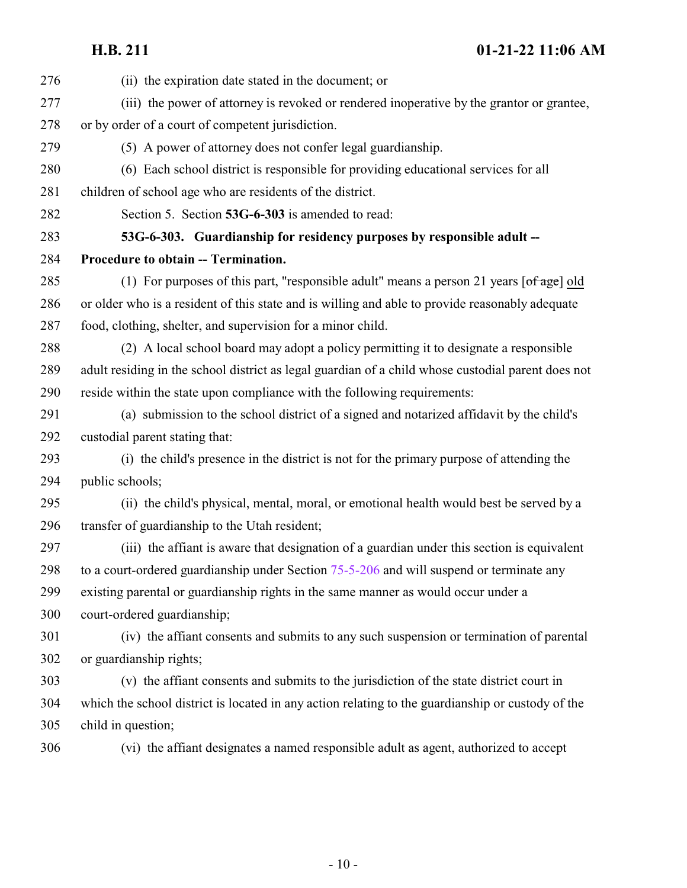<span id="page-9-0"></span>

| 276 | (ii) the expiration date stated in the document; or                                                                                |
|-----|------------------------------------------------------------------------------------------------------------------------------------|
| 277 | (iii) the power of attorney is revoked or rendered inoperative by the grantor or grantee,                                          |
| 278 | or by order of a court of competent jurisdiction.                                                                                  |
| 279 | (5) A power of attorney does not confer legal guardianship.                                                                        |
| 280 | (6) Each school district is responsible for providing educational services for all                                                 |
| 281 | children of school age who are residents of the district.                                                                          |
| 282 | Section 5. Section 53G-6-303 is amended to read:                                                                                   |
| 283 | 53G-6-303. Guardianship for residency purposes by responsible adult --                                                             |
| 284 | Procedure to obtain -- Termination.                                                                                                |
| 285 | (1) For purposes of this part, "responsible adult" means a person 21 years $\lceil \frac{\text{of age}}{\text{of age}} \rceil$ old |
| 286 | or older who is a resident of this state and is willing and able to provide reasonably adequate                                    |
| 287 | food, clothing, shelter, and supervision for a minor child.                                                                        |
| 288 | (2) A local school board may adopt a policy permitting it to designate a responsible                                               |
| 289 | adult residing in the school district as legal guardian of a child whose custodial parent does not                                 |
| 290 | reside within the state upon compliance with the following requirements:                                                           |
| 291 | (a) submission to the school district of a signed and notarized affidavit by the child's                                           |
| 292 | custodial parent stating that:                                                                                                     |
| 293 | (i) the child's presence in the district is not for the primary purpose of attending the                                           |
| 294 | public schools;                                                                                                                    |
| 295 | (ii) the child's physical, mental, moral, or emotional health would best be served by a                                            |
| 296 | transfer of guardianship to the Utah resident;                                                                                     |
| 297 | (iii) the affiant is aware that designation of a guardian under this section is equivalent                                         |
| 298 | to a court-ordered guardianship under Section 75-5-206 and will suspend or terminate any                                           |
| 299 | existing parental or guardianship rights in the same manner as would occur under a                                                 |
| 300 | court-ordered guardianship;                                                                                                        |
| 301 | (iv) the affiant consents and submits to any such suspension or termination of parental                                            |
| 302 | or guardianship rights;                                                                                                            |
| 303 | (v) the affiant consents and submits to the jurisdiction of the state district court in                                            |
| 304 | which the school district is located in any action relating to the guardianship or custody of the                                  |
| 305 | child in question;                                                                                                                 |
| 306 | (vi) the affiant designates a named responsible adult as agent, authorized to accept                                               |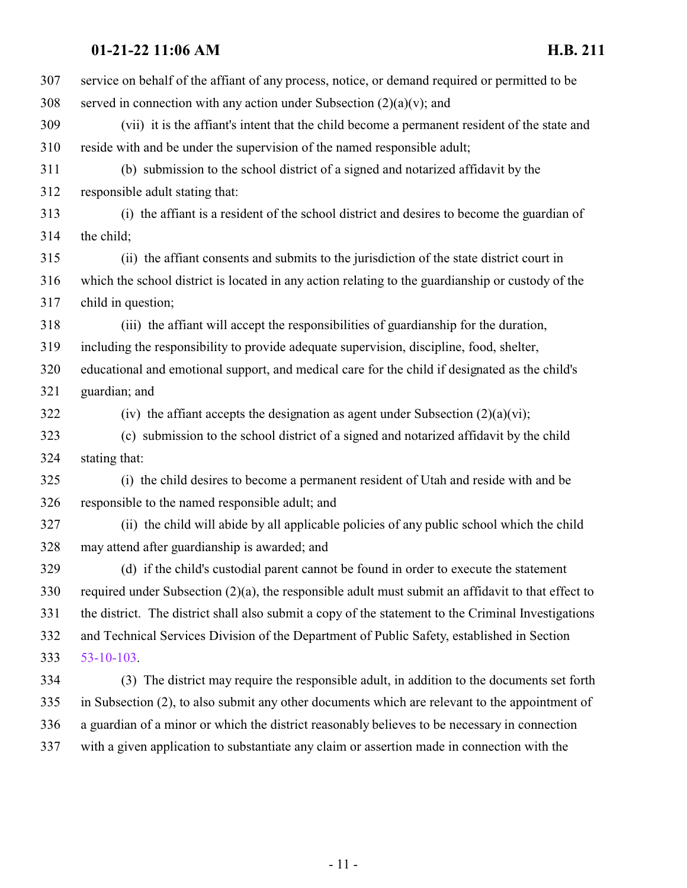| 307 | service on behalf of the affiant of any process, notice, or demand required or permitted to be        |
|-----|-------------------------------------------------------------------------------------------------------|
| 308 | served in connection with any action under Subsection $(2)(a)(v)$ ; and                               |
| 309 | (vii) it is the affiant's intent that the child become a permanent resident of the state and          |
| 310 | reside with and be under the supervision of the named responsible adult;                              |
| 311 | (b) submission to the school district of a signed and notarized affidavit by the                      |
| 312 | responsible adult stating that:                                                                       |
| 313 | (i) the affiant is a resident of the school district and desires to become the guardian of            |
| 314 | the child;                                                                                            |
| 315 | (ii) the affiant consents and submits to the jurisdiction of the state district court in              |
| 316 | which the school district is located in any action relating to the guardianship or custody of the     |
| 317 | child in question;                                                                                    |
| 318 | (iii) the affiant will accept the responsibilities of guardianship for the duration,                  |
| 319 | including the responsibility to provide adequate supervision, discipline, food, shelter,              |
| 320 | educational and emotional support, and medical care for the child if designated as the child's        |
| 321 | guardian; and                                                                                         |
| 322 | (iv) the affiant accepts the designation as agent under Subsection $(2)(a)(vi)$ ;                     |
| 323 | (c) submission to the school district of a signed and notarized affidavit by the child                |
| 324 | stating that:                                                                                         |
| 325 | (i) the child desires to become a permanent resident of Utah and reside with and be                   |
| 326 | responsible to the named responsible adult; and                                                       |
| 327 | (ii) the child will abide by all applicable policies of any public school which the child             |
| 328 | may attend after guardianship is awarded; and                                                         |
| 329 | (d) if the child's custodial parent cannot be found in order to execute the statement                 |
| 330 | required under Subsection $(2)(a)$ , the responsible adult must submit an affidavit to that effect to |
| 331 | the district. The district shall also submit a copy of the statement to the Criminal Investigations   |
| 332 | and Technical Services Division of the Department of Public Safety, established in Section            |
| 333 | $53 - 10 - 103$ .                                                                                     |
| 334 | (3) The district may require the responsible adult, in addition to the documents set forth            |
| 335 | in Subsection (2), to also submit any other documents which are relevant to the appointment of        |
| 336 | a guardian of a minor or which the district reasonably believes to be necessary in connection         |
| 337 | with a given application to substantiate any claim or assertion made in connection with the           |
|     |                                                                                                       |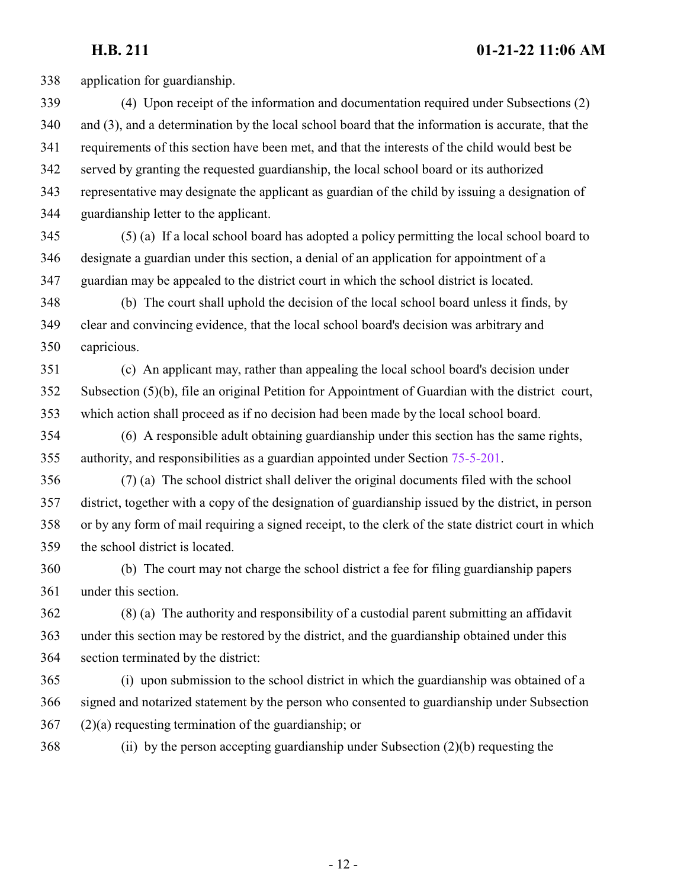application for guardianship. (4) Upon receipt of the information and documentation required under Subsections (2) and (3), and a determination by the local school board that the information is accurate, that the requirements of this section have been met, and that the interests of the child would best be served by granting the requested guardianship, the local school board or its authorized representative may designate the applicant as guardian of the child by issuing a designation of guardianship letter to the applicant. (5) (a) If a local school board has adopted a policy permitting the local school board to designate a guardian under this section, a denial of an application for appointment of a guardian may be appealed to the district court in which the school district is located. (b) The court shall uphold the decision of the local school board unless it finds, by clear and convincing evidence, that the local school board's decision was arbitrary and capricious. (c) An applicant may, rather than appealing the local school board's decision under Subsection (5)(b), file an original Petition for Appointment of Guardian with the district court, which action shall proceed as if no decision had been made by the local school board.

 (6) A responsible adult obtaining guardianship under this section has the same rights, authority, and responsibilities as a guardian appointed under Section [75-5-201](http://le.utah.gov/UtahCode/SectionLookup.jsp?section=75-5-201&session=2022GS).

 (7) (a) The school district shall deliver the original documents filed with the school district, together with a copy of the designation of guardianship issued by the district, in person or by any form of mail requiring a signed receipt, to the clerk of the state district court in which the school district is located.

 (b) The court may not charge the school district a fee for filing guardianship papers under this section.

 (8) (a) The authority and responsibility of a custodial parent submitting an affidavit under this section may be restored by the district, and the guardianship obtained under this section terminated by the district:

 (i) upon submission to the school district in which the guardianship was obtained of a signed and notarized statement by the person who consented to guardianship under Subsection (2)(a) requesting termination of the guardianship; or

(ii) by the person accepting guardianship under Subsection (2)(b) requesting the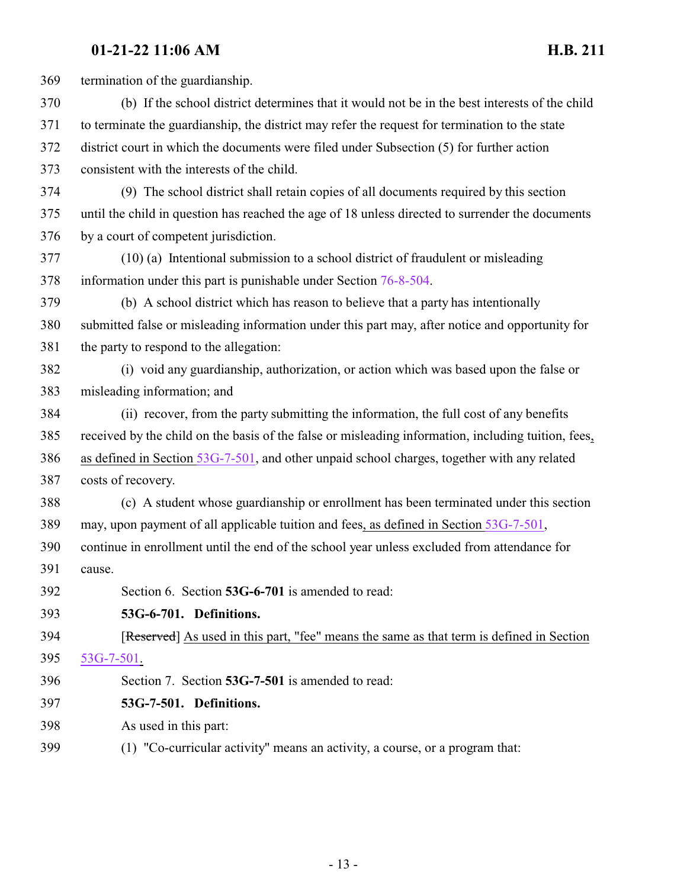<span id="page-12-1"></span><span id="page-12-0"></span>

| 369 | termination of the guardianship.                                                                    |
|-----|-----------------------------------------------------------------------------------------------------|
| 370 | (b) If the school district determines that it would not be in the best interests of the child       |
| 371 | to terminate the guardianship, the district may refer the request for termination to the state      |
| 372 | district court in which the documents were filed under Subsection (5) for further action            |
| 373 | consistent with the interests of the child.                                                         |
| 374 | (9) The school district shall retain copies of all documents required by this section               |
| 375 | until the child in question has reached the age of 18 unless directed to surrender the documents    |
| 376 | by a court of competent jurisdiction.                                                               |
| 377 | (10) (a) Intentional submission to a school district of fraudulent or misleading                    |
| 378 | information under this part is punishable under Section 76-8-504.                                   |
| 379 | (b) A school district which has reason to believe that a party has intentionally                    |
| 380 | submitted false or misleading information under this part may, after notice and opportunity for     |
| 381 | the party to respond to the allegation:                                                             |
| 382 | (i) void any guardianship, authorization, or action which was based upon the false or               |
| 383 | misleading information; and                                                                         |
| 384 | (ii) recover, from the party submitting the information, the full cost of any benefits              |
| 385 | received by the child on the basis of the false or misleading information, including tuition, fees, |
| 386 | as defined in Section 53G-7-501, and other unpaid school charges, together with any related         |
| 387 | costs of recovery.                                                                                  |
| 388 | (c) A student whose guardianship or enrollment has been terminated under this section               |
| 389 | may, upon payment of all applicable tuition and fees, as defined in Section 53G-7-501,              |
| 390 | continue in enrollment until the end of the school year unless excluded from attendance for         |
| 391 | cause.                                                                                              |
| 392 | Section 6. Section 53G-6-701 is amended to read:                                                    |
| 393 | 53G-6-701. Definitions.                                                                             |
| 394 | [Reserved] As used in this part, "fee" means the same as that term is defined in Section            |
| 395 | <u>53G-7-501.</u>                                                                                   |
| 396 | Section 7. Section 53G-7-501 is amended to read:                                                    |
| 397 | 53G-7-501. Definitions.                                                                             |
| 398 | As used in this part:                                                                               |
| 399 | (1) "Co-curricular activity" means an activity, a course, or a program that:                        |
|     |                                                                                                     |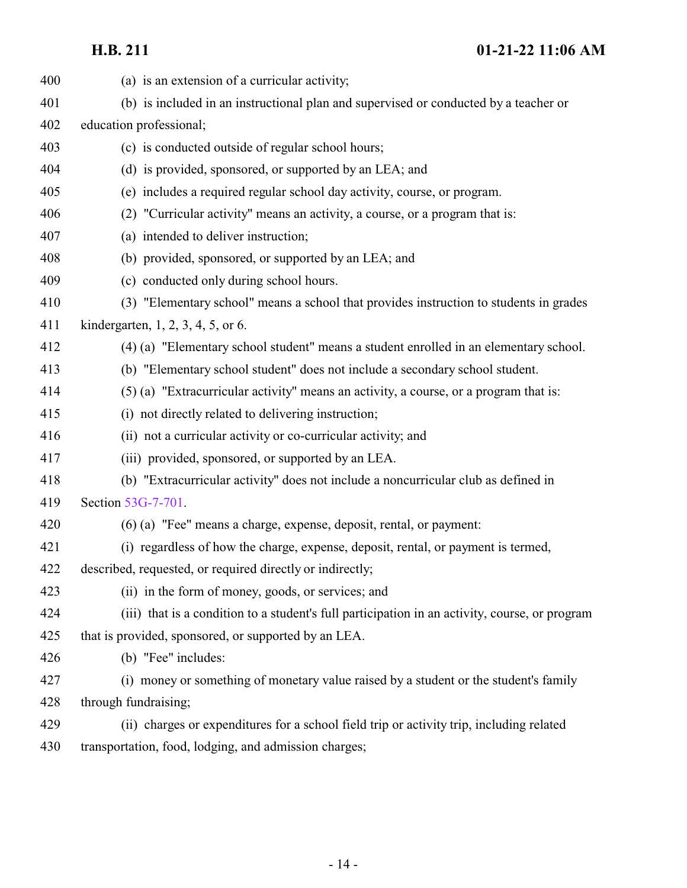| 400 | (a) is an extension of a curricular activity;                                                  |
|-----|------------------------------------------------------------------------------------------------|
| 401 | (b) is included in an instructional plan and supervised or conducted by a teacher or           |
| 402 | education professional;                                                                        |
| 403 | (c) is conducted outside of regular school hours;                                              |
| 404 | (d) is provided, sponsored, or supported by an LEA; and                                        |
| 405 | (e) includes a required regular school day activity, course, or program.                       |
| 406 | (2) "Curricular activity" means an activity, a course, or a program that is:                   |
| 407 | (a) intended to deliver instruction;                                                           |
| 408 | (b) provided, sponsored, or supported by an LEA; and                                           |
| 409 | (c) conducted only during school hours.                                                        |
| 410 | (3) "Elementary school" means a school that provides instruction to students in grades         |
| 411 | kindergarten, $1, 2, 3, 4, 5$ , or 6.                                                          |
| 412 | (4) (a) "Elementary school student" means a student enrolled in an elementary school.          |
| 413 | (b) "Elementary school student" does not include a secondary school student.                   |
| 414 | (5) (a) "Extracurricular activity" means an activity, a course, or a program that is:          |
| 415 | (i) not directly related to delivering instruction;                                            |
| 416 | (ii) not a curricular activity or co-curricular activity; and                                  |
| 417 | (iii) provided, sponsored, or supported by an LEA.                                             |
| 418 | (b) "Extracurricular activity" does not include a noncurricular club as defined in             |
| 419 | Section 53G-7-701.                                                                             |
| 420 | (6) (a) "Fee" means a charge, expense, deposit, rental, or payment:                            |
| 421 | (i) regardless of how the charge, expense, deposit, rental, or payment is termed,              |
| 422 | described, requested, or required directly or indirectly;                                      |
| 423 | (ii) in the form of money, goods, or services; and                                             |
| 424 | (iii) that is a condition to a student's full participation in an activity, course, or program |
| 425 | that is provided, sponsored, or supported by an LEA.                                           |
| 426 | (b) "Fee" includes:                                                                            |
| 427 | (i) money or something of monetary value raised by a student or the student's family           |
| 428 | through fundraising;                                                                           |
| 429 | (ii) charges or expenditures for a school field trip or activity trip, including related       |

transportation, food, lodging, and admission charges;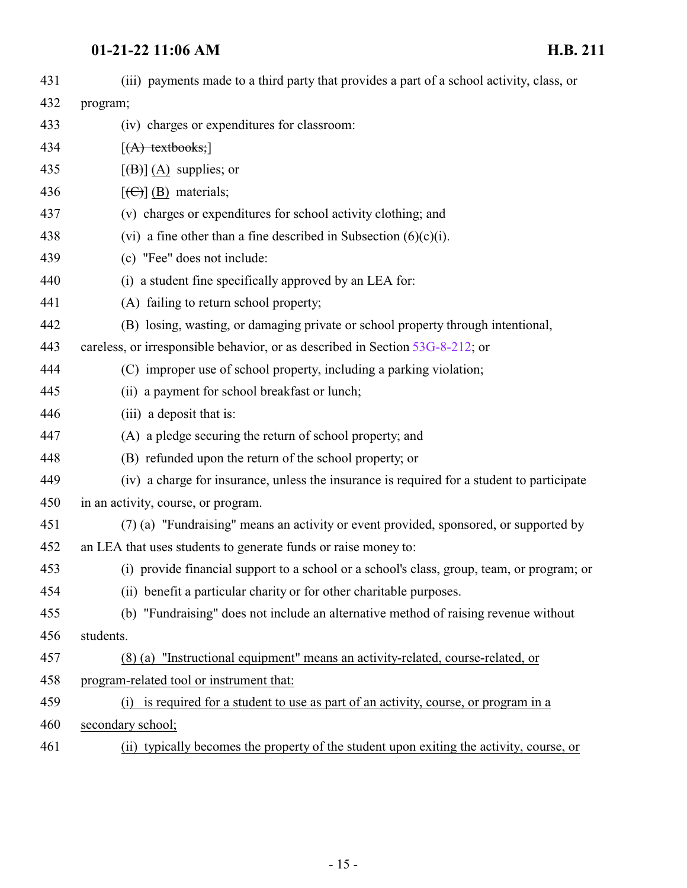| 431 |                                                                                            |
|-----|--------------------------------------------------------------------------------------------|
|     | (iii) payments made to a third party that provides a part of a school activity, class, or  |
| 432 | program;                                                                                   |
| 433 | (iv) charges or expenditures for classroom:                                                |
| 434 | $[(A)$ textbooks;                                                                          |
| 435 | $[\langle B \rangle]$ (A) supplies; or                                                     |
| 436 | $[\left(\bigoplus\right)]$ (B) materials;                                                  |
| 437 | (v) charges or expenditures for school activity clothing; and                              |
| 438 | (vi) a fine other than a fine described in Subsection $(6)(c)(i)$ .                        |
| 439 | (c) "Fee" does not include:                                                                |
| 440 | (i) a student fine specifically approved by an LEA for:                                    |
| 441 | (A) failing to return school property;                                                     |
| 442 | (B) losing, wasting, or damaging private or school property through intentional,           |
| 443 | careless, or irresponsible behavior, or as described in Section 53G-8-212; or              |
| 444 | (C) improper use of school property, including a parking violation;                        |
| 445 | (ii) a payment for school breakfast or lunch;                                              |
| 446 | (iii) a deposit that is:                                                                   |
| 447 | (A) a pledge securing the return of school property; and                                   |
| 448 | (B) refunded upon the return of the school property; or                                    |
| 449 | (iv) a charge for insurance, unless the insurance is required for a student to participate |
| 450 | in an activity, course, or program.                                                        |
| 451 | (7) (a) "Fundraising" means an activity or event provided, sponsored, or supported by      |
| 452 | an LEA that uses students to generate funds or raise money to:                             |
| 453 | (i) provide financial support to a school or a school's class, group, team, or program; or |
| 454 | (ii) benefit a particular charity or for other charitable purposes.                        |
| 455 | (b) "Fundraising" does not include an alternative method of raising revenue without        |
| 456 | students.                                                                                  |
| 457 | (8) (a) "Instructional equipment" means an activity-related, course-related, or            |
| 458 | program-related tool or instrument that:                                                   |
| 459 | (i) is required for a student to use as part of an activity, course, or program in a       |
| 460 | secondary school;                                                                          |
| 461 | (ii) typically becomes the property of the student upon exiting the activity, course, or   |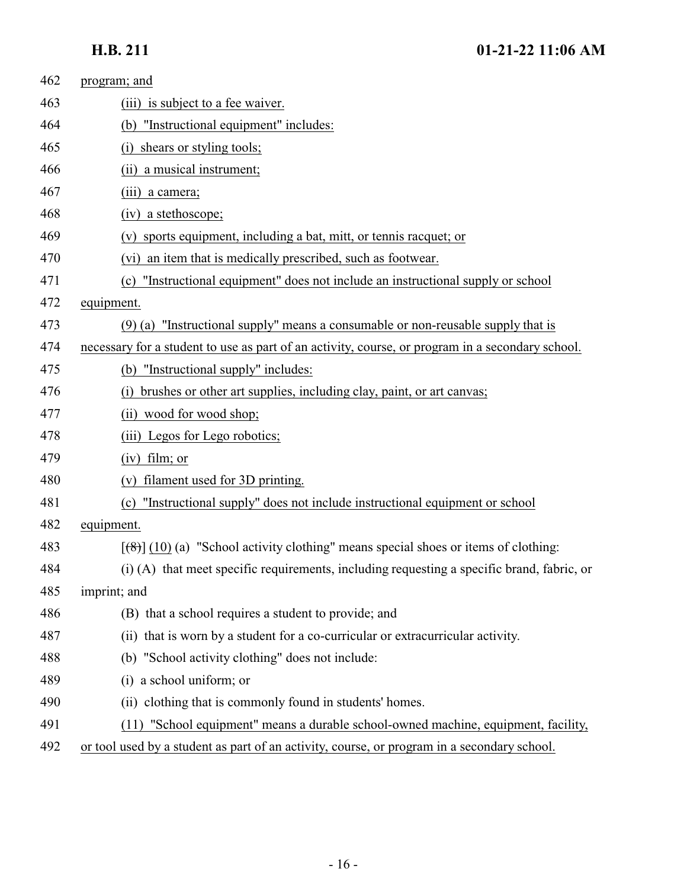| 462 | program; and                                                                                               |
|-----|------------------------------------------------------------------------------------------------------------|
| 463 | (iii) is subject to a fee waiver.                                                                          |
| 464 | "Instructional equipment" includes:<br>(b)                                                                 |
| 465 | shears or styling tools;<br>$\left( i\right)$                                                              |
| 466 | (ii) a musical instrument;                                                                                 |
| 467 | (iii) a camera;                                                                                            |
| 468 | (iv) a stethoscope;                                                                                        |
| 469 | (v) sports equipment, including a bat, mitt, or tennis racquet; or                                         |
| 470 | (vi) an item that is medically prescribed, such as footwear.                                               |
| 471 | "Instructional equipment" does not include an instructional supply or school<br>(c)                        |
| 472 | equipment.                                                                                                 |
| 473 | $(9)$ (a) "Instructional supply" means a consumable or non-reusable supply that is                         |
| 474 | necessary for a student to use as part of an activity, course, or program in a secondary school.           |
| 475 | (b) "Instructional supply" includes:                                                                       |
| 476 | brushes or other art supplies, including clay, paint, or art canvas;<br>(i)                                |
| 477 | (ii) wood for wood shop;                                                                                   |
| 478 | (iii) Legos for Lego robotics;                                                                             |
| 479 | $(iv)$ film; or                                                                                            |
| 480 | filament used for 3D printing.                                                                             |
| 481 | "Instructional supply" does not include instructional equipment or school<br>(c)                           |
| 482 | equipment.                                                                                                 |
| 483 | $[\frac{1}{2}, \frac{1}{2}]$ (10) (a) "School activity clothing" means special shoes or items of clothing: |
| 484 | (i) (A) that meet specific requirements, including requesting a specific brand, fabric, or                 |
| 485 | imprint; and                                                                                               |
| 486 | (B) that a school requires a student to provide; and                                                       |
| 487 | (ii) that is worn by a student for a co-curricular or extracurricular activity.                            |
| 488 | (b) "School activity clothing" does not include:                                                           |
| 489 | (i) a school uniform; or                                                                                   |
| 490 | (ii) clothing that is commonly found in students' homes.                                                   |
| 491 | (11) "School equipment" means a durable school-owned machine, equipment, facility,                         |
| 492 | or tool used by a student as part of an activity, course, or program in a secondary school.                |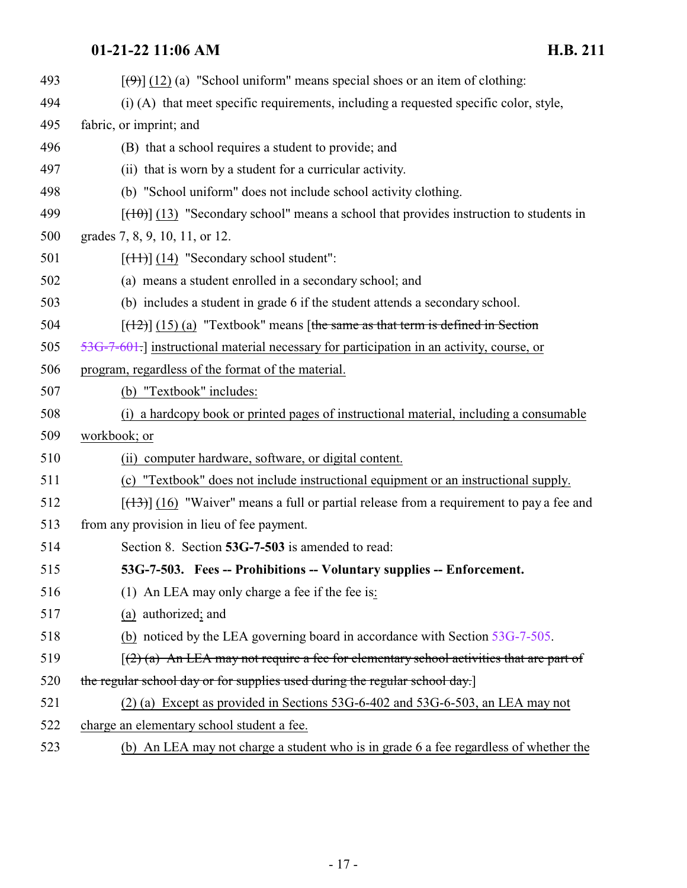<span id="page-16-0"></span>

| 493 | $[\langle 9 \rangle]$ (12) (a) "School uniform" means special shoes or an item of clothing:    |
|-----|------------------------------------------------------------------------------------------------|
| 494 | (i) (A) that meet specific requirements, including a requested specific color, style,          |
| 495 | fabric, or imprint; and                                                                        |
| 496 | (B) that a school requires a student to provide; and                                           |
| 497 | (ii) that is worn by a student for a curricular activity.                                      |
| 498 | (b) "School uniform" does not include school activity clothing.                                |
| 499 | $[$ (13) "Secondary school" means a school that provides instruction to students in            |
| 500 | grades 7, 8, 9, 10, 11, or 12.                                                                 |
| 501 | $[\text{(+1)}]$ (14) "Secondary school student":                                               |
| 502 | (a) means a student enrolled in a secondary school; and                                        |
| 503 | (b) includes a student in grade 6 if the student attends a secondary school.                   |
| 504 | $[$ (12)] (15) (a) "Textbook" means [the same as that term is defined in Section               |
| 505 | $53G-7-601$ . instructional material necessary for participation in an activity, course, or    |
| 506 | program, regardless of the format of the material.                                             |
| 507 | (b) "Textbook" includes:                                                                       |
| 508 | (i) a hardcopy book or printed pages of instructional material, including a consumable         |
| 509 | workbook; or                                                                                   |
| 510 | (ii) computer hardware, software, or digital content.                                          |
| 511 | (c) "Textbook" does not include instructional equipment or an instructional supply.            |
| 512 | $[$ (13) $]$ (16) "Waiver" means a full or partial release from a requirement to pay a fee and |
| 513 | from any provision in lieu of fee payment.                                                     |
| 514 | Section 8. Section 53G-7-503 is amended to read:                                               |
| 515 | 53G-7-503. Fees -- Prohibitions -- Voluntary supplies -- Enforcement.                          |
| 516 | (1) An LEA may only charge a fee if the fee is:                                                |
| 517 | (a) authorized; and                                                                            |
| 518 | (b) noticed by the LEA governing board in accordance with Section $53G-7-505$ .                |
| 519 | $(2)$ (a) An LEA may not require a fee for elementary school activities that are part of       |
| 520 | the regular school day or for supplies used during the regular school day.                     |
| 521 | $(2)$ (a) Except as provided in Sections 53G-6-402 and 53G-6-503, an LEA may not               |
| 522 | charge an elementary school student a fee.                                                     |
| 523 | (b) An LEA may not charge a student who is in grade 6 a fee regardless of whether the          |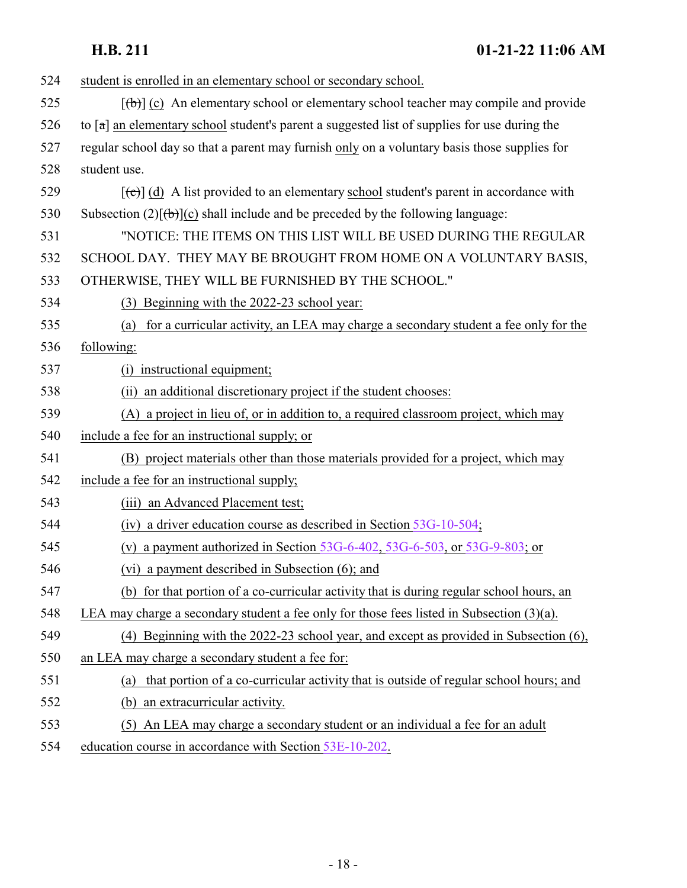| 524 | student is enrolled in an elementary school or secondary school.                                           |
|-----|------------------------------------------------------------------------------------------------------------|
| 525 | $[\langle \theta \rangle]$ (c) An elementary school or elementary school teacher may compile and provide   |
| 526 | to $\lceil a \rceil$ an elementary school student's parent a suggested list of supplies for use during the |
| 527 | regular school day so that a parent may furnish only on a voluntary basis those supplies for               |
| 528 | student use.                                                                                               |
| 529 | $[\text{e}^{-\text{e}}]$ (d) A list provided to an elementary school student's parent in accordance with   |
| 530 | Subsection $(2)[\theta]$ (c) shall include and be preceded by the following language:                      |
| 531 | "NOTICE: THE ITEMS ON THIS LIST WILL BE USED DURING THE REGULAR                                            |
| 532 | SCHOOL DAY. THEY MAY BE BROUGHT FROM HOME ON A VOLUNTARY BASIS,                                            |
| 533 | OTHERWISE, THEY WILL BE FURNISHED BY THE SCHOOL."                                                          |
| 534 | (3) Beginning with the 2022-23 school year:                                                                |
| 535 | for a curricular activity, an LEA may charge a secondary student a fee only for the<br>(a)                 |
| 536 | following:                                                                                                 |
| 537 | (i) instructional equipment;                                                                               |
| 538 | (ii) an additional discretionary project if the student chooses:                                           |
| 539 | (A) a project in lieu of, or in addition to, a required classroom project, which may                       |
| 540 | include a fee for an instructional supply; or                                                              |
| 541 | (B) project materials other than those materials provided for a project, which may                         |
| 542 | include a fee for an instructional supply;                                                                 |
| 543 | (iii) an Advanced Placement test;                                                                          |
| 544 | (iv) a driver education course as described in Section $53G-10-504$ ;                                      |
| 545 | (v) a payment authorized in Section $53G-6-402$ , $53G-6-503$ , or $53G-9-803$ ; or                        |
| 546 | (vi) a payment described in Subsection (6); and                                                            |
| 547 | (b) for that portion of a co-curricular activity that is during regular school hours, an                   |
| 548 | LEA may charge a secondary student a fee only for those fees listed in Subsection $(3)(a)$ .               |
| 549 | (4) Beginning with the $2022-23$ school year, and except as provided in Subsection $(6)$ ,                 |
| 550 | an LEA may charge a secondary student a fee for:                                                           |
| 551 | that portion of a co-curricular activity that is outside of regular school hours; and<br>(a)               |
| 552 | an extracurricular activity.<br>(b)                                                                        |
| 553 | An LEA may charge a secondary student or an individual a fee for an adult<br>(5)                           |
| 554 | education course in accordance with Section 53E-10-202.                                                    |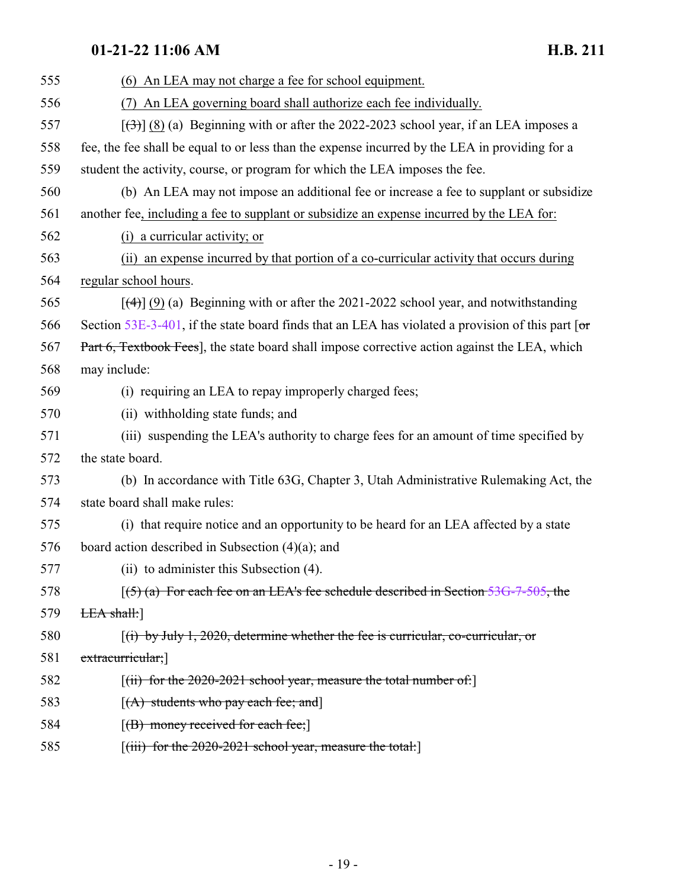| 555 | (6) An LEA may not charge a fee for school equipment.                                                |
|-----|------------------------------------------------------------------------------------------------------|
| 556 | (7) An LEA governing board shall authorize each fee individually.                                    |
| 557 | $[\langle 3\rangle]$ (8) (a) Beginning with or after the 2022-2023 school year, if an LEA imposes a  |
| 558 | fee, the fee shall be equal to or less than the expense incurred by the LEA in providing for a       |
| 559 | student the activity, course, or program for which the LEA imposes the fee.                          |
| 560 | (b) An LEA may not impose an additional fee or increase a fee to supplant or subsidize               |
| 561 | another fee, including a fee to supplant or subsidize an expense incurred by the LEA for:            |
| 562 | (i) a curricular activity; or                                                                        |
| 563 | (ii) an expense incurred by that portion of a co-curricular activity that occurs during              |
| 564 | regular school hours.                                                                                |
| 565 | $[\frac{4}{3}]$ (9) (a) Beginning with or after the 2021-2022 school year, and notwithstanding       |
| 566 | Section $53E-3-401$ , if the state board finds that an LEA has violated a provision of this part [or |
| 567 | Part 6, Textbook Fees], the state board shall impose corrective action against the LEA, which        |
| 568 | may include:                                                                                         |
| 569 | (i) requiring an LEA to repay improperly charged fees;                                               |
| 570 | (ii) withholding state funds; and                                                                    |
| 571 | (iii) suspending the LEA's authority to charge fees for an amount of time specified by               |
| 572 | the state board.                                                                                     |
| 573 | (b) In accordance with Title 63G, Chapter 3, Utah Administrative Rulemaking Act, the                 |
| 574 | state board shall make rules:                                                                        |
| 575 | (i) that require notice and an opportunity to be heard for an LEA affected by a state                |
| 576 | board action described in Subsection $(4)(a)$ ; and                                                  |
| 577 | (ii) to administer this Subsection (4).                                                              |
| 578 | $(5)$ (a) For each fee on an LEA's fee schedule described in Section 53G-7-505, the                  |
| 579 | EEA shall:                                                                                           |
| 580 | $f(t)$ by July 1, 2020, determine whether the fee is curricular, co-curricular, or                   |
| 581 | extracurricular;                                                                                     |
| 582 | $[(ii)$ for the 2020-2021 school year, measure the total number of:                                  |
| 583 | $[(A)$ students who pay each fee; and                                                                |
| 584 | $[$ (B) money received for each fee; $]$                                                             |
| 585 | $[(iii)$ for the 2020-2021 school year, measure the total:                                           |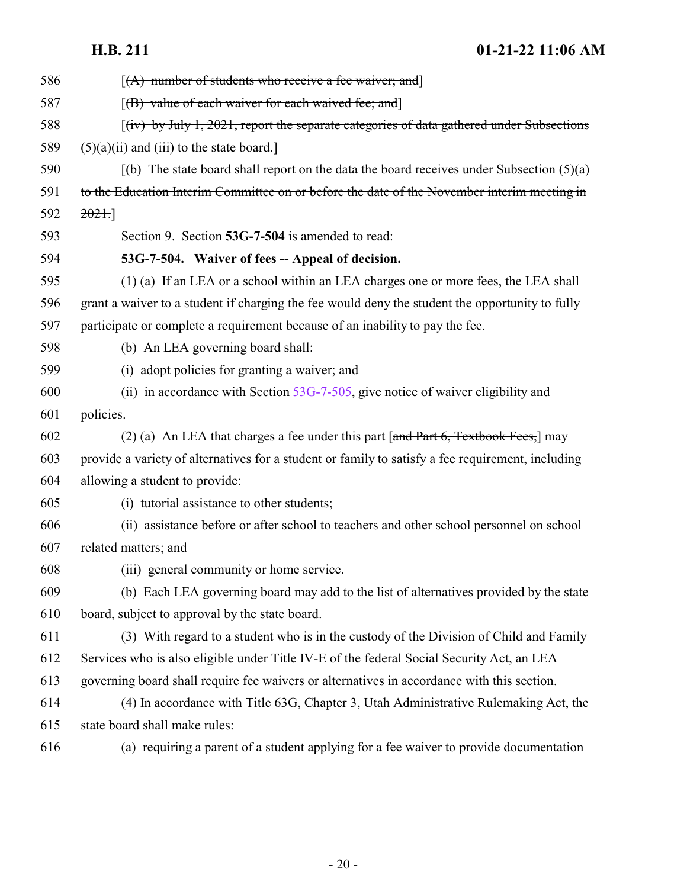<span id="page-19-0"></span>

| 586 | $[(A)$ number of students who receive a fee waiver; and                                                          |
|-----|------------------------------------------------------------------------------------------------------------------|
| 587 | $[$ (B) value of each waiver for each waived fee; and                                                            |
| 588 | $f(iv)$ by July 1, 2021, report the separate categories of data gathered under Subsections                       |
| 589 | $(5)(a)(ii)$ and (iii) to the state board.]                                                                      |
| 590 | $\left[\frac{b}{b}\right]$ The state board shall report on the data the board receives under Subsection $(5)(a)$ |
| 591 | to the Education Interim Committee on or before the date of the November interim meeting in                      |
| 592 | 2021.                                                                                                            |
| 593 | Section 9. Section 53G-7-504 is amended to read:                                                                 |
| 594 | 53G-7-504. Waiver of fees -- Appeal of decision.                                                                 |
| 595 | (1) (a) If an LEA or a school within an LEA charges one or more fees, the LEA shall                              |
| 596 | grant a waiver to a student if charging the fee would deny the student the opportunity to fully                  |
| 597 | participate or complete a requirement because of an inability to pay the fee.                                    |
| 598 | (b) An LEA governing board shall:                                                                                |
| 599 | (i) adopt policies for granting a waiver; and                                                                    |
| 600 | (ii) in accordance with Section $53G-7-505$ , give notice of waiver eligibility and                              |
| 601 | policies.                                                                                                        |
| 602 | (2) (a) An LEA that charges a fee under this part $\lceil \text{and Part 6}, \text{Textbook Fees} \rceil$ may    |
| 603 | provide a variety of alternatives for a student or family to satisfy a fee requirement, including                |
| 604 | allowing a student to provide:                                                                                   |
| 605 | (i) tutorial assistance to other students;                                                                       |
| 606 | (ii) assistance before or after school to teachers and other school personnel on school                          |
| 607 | related matters; and                                                                                             |
| 608 | (iii) general community or home service.                                                                         |
| 609 | (b) Each LEA governing board may add to the list of alternatives provided by the state                           |
| 610 | board, subject to approval by the state board.                                                                   |
| 611 | (3) With regard to a student who is in the custody of the Division of Child and Family                           |
| 612 | Services who is also eligible under Title IV-E of the federal Social Security Act, an LEA                        |
| 613 | governing board shall require fee waivers or alternatives in accordance with this section.                       |
| 614 | (4) In accordance with Title 63G, Chapter 3, Utah Administrative Rulemaking Act, the                             |
| 615 | state board shall make rules:                                                                                    |
| 616 | (a) requiring a parent of a student applying for a fee waiver to provide documentation                           |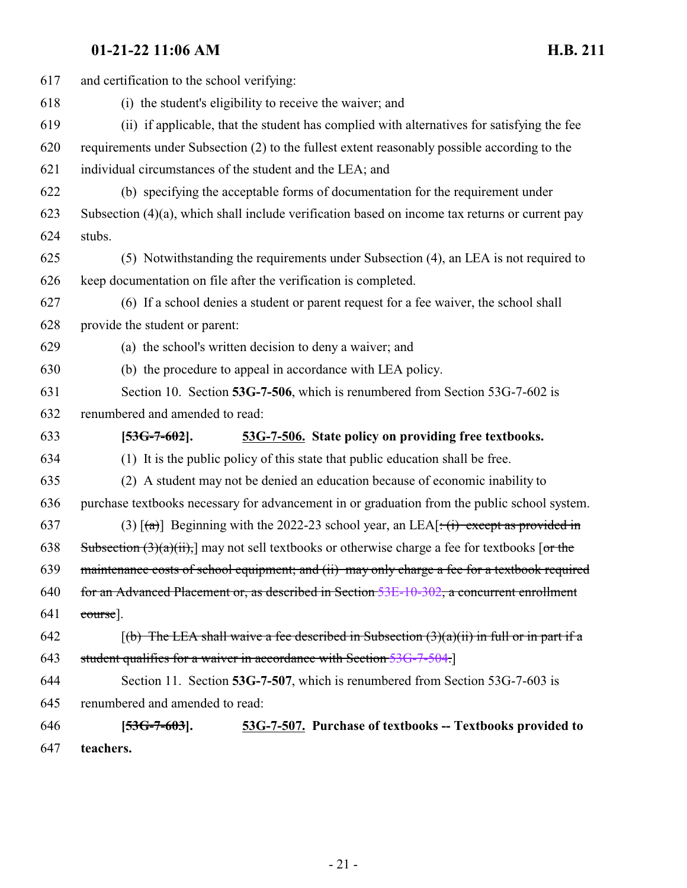<span id="page-20-1"></span><span id="page-20-0"></span>

| 617 | and certification to the school verifying:                                                                       |
|-----|------------------------------------------------------------------------------------------------------------------|
| 618 | (i) the student's eligibility to receive the waiver; and                                                         |
| 619 | (ii) if applicable, that the student has complied with alternatives for satisfying the fee                       |
| 620 | requirements under Subsection (2) to the fullest extent reasonably possible according to the                     |
| 621 | individual circumstances of the student and the LEA; and                                                         |
| 622 | (b) specifying the acceptable forms of documentation for the requirement under                                   |
| 623 | Subsection $(4)(a)$ , which shall include verification based on income tax returns or current pay                |
| 624 | stubs.                                                                                                           |
| 625 | (5) Notwithstanding the requirements under Subsection (4), an LEA is not required to                             |
| 626 | keep documentation on file after the verification is completed.                                                  |
| 627 | (6) If a school denies a student or parent request for a fee waiver, the school shall                            |
| 628 | provide the student or parent:                                                                                   |
| 629 | (a) the school's written decision to deny a waiver; and                                                          |
| 630 | (b) the procedure to appeal in accordance with LEA policy.                                                       |
| 631 | Section 10. Section 53G-7-506, which is renumbered from Section 53G-7-602 is                                     |
| 632 | renumbered and amended to read:                                                                                  |
| 633 | 53G-7-506. State policy on providing free textbooks.<br>$[53G-7-602]$ .                                          |
| 634 | (1) It is the public policy of this state that public education shall be free.                                   |
| 635 | (2) A student may not be denied an education because of economic inability to                                    |
| 636 | purchase textbooks necessary for advancement in or graduation from the public school system.                     |
| 637 | (3) $\lceil (a) \rceil$ Beginning with the 2022-23 school year, an LEA $\lceil (a) \rceil$ except as provided in |
| 638 | Subsection $(3)(a)(ii)$ , may not sell textbooks or otherwise charge a fee for textbooks [or the                 |
| 639 | maintenance costs of school equipment; and (ii) may only charge a fee for a textbook required                    |
| 640 | for an Advanced Placement or, as described in Section 53E-10-302, a concurrent enrollment                        |
| 641 | course].                                                                                                         |
| 642 | $(6)$ The LEA shall waive a fee described in Subsection $(3)(a)(ii)$ in full or in part if a                     |
| 643 | student qualifies for a waiver in accordance with Section 53G-7-504.                                             |
| 644 | Section 11. Section 53G-7-507, which is renumbered from Section 53G-7-603 is                                     |
| 645 | renumbered and amended to read:                                                                                  |
| 646 | 53G-7-507. Purchase of textbooks -- Textbooks provided to<br>$[53G-7-603]$ .                                     |
| 647 | teachers.                                                                                                        |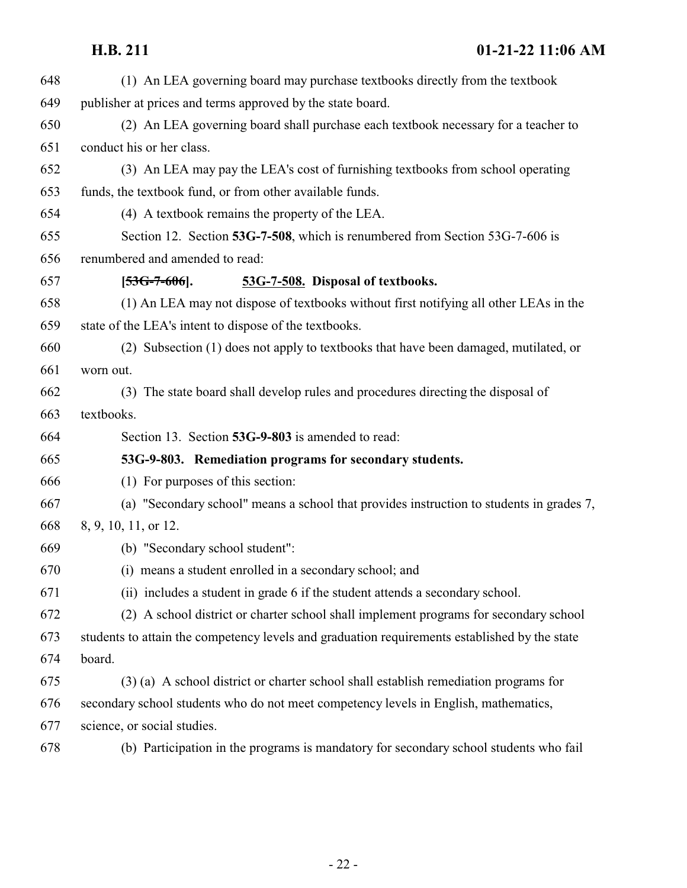<span id="page-21-1"></span><span id="page-21-0"></span>

| 648 | (1) An LEA governing board may purchase textbooks directly from the textbook                  |
|-----|-----------------------------------------------------------------------------------------------|
| 649 | publisher at prices and terms approved by the state board.                                    |
| 650 | (2) An LEA governing board shall purchase each textbook necessary for a teacher to            |
| 651 | conduct his or her class.                                                                     |
| 652 | (3) An LEA may pay the LEA's cost of furnishing textbooks from school operating               |
| 653 | funds, the textbook fund, or from other available funds.                                      |
| 654 | (4) A textbook remains the property of the LEA.                                               |
| 655 | Section 12. Section 53G-7-508, which is renumbered from Section 53G-7-606 is                  |
| 656 | renumbered and amended to read:                                                               |
| 657 | 53G-7-508. Disposal of textbooks.<br>$[53G-7-606]$ .                                          |
| 658 | (1) An LEA may not dispose of textbooks without first notifying all other LEAs in the         |
| 659 | state of the LEA's intent to dispose of the textbooks.                                        |
| 660 | (2) Subsection (1) does not apply to textbooks that have been damaged, mutilated, or          |
| 661 | worn out.                                                                                     |
| 662 | (3) The state board shall develop rules and procedures directing the disposal of              |
| 663 | textbooks.                                                                                    |
| 664 | Section 13. Section 53G-9-803 is amended to read:                                             |
| 665 | 53G-9-803. Remediation programs for secondary students.                                       |
| 666 | (1) For purposes of this section:                                                             |
| 667 | (a) "Secondary school" means a school that provides instruction to students in grades 7,      |
| 668 | 8, 9, 10, 11, or 12.                                                                          |
| 669 | (b) "Secondary school student":                                                               |
| 670 | (i) means a student enrolled in a secondary school; and                                       |
| 671 | (ii) includes a student in grade 6 if the student attends a secondary school.                 |
| 672 | (2) A school district or charter school shall implement programs for secondary school         |
| 673 | students to attain the competency levels and graduation requirements established by the state |
| 674 | board.                                                                                        |
| 675 | (3) (a) A school district or charter school shall establish remediation programs for          |
| 676 | secondary school students who do not meet competency levels in English, mathematics,          |
| 677 | science, or social studies.                                                                   |
| 678 | (b) Participation in the programs is mandatory for secondary school students who fail         |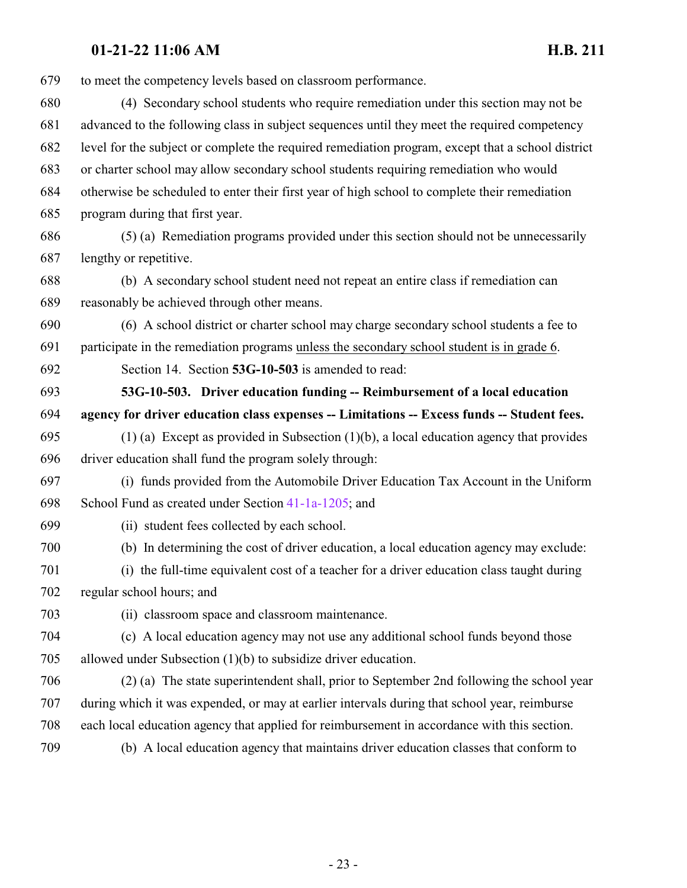<span id="page-22-0"></span> to meet the competency levels based on classroom performance. (4) Secondary school students who require remediation under this section may not be advanced to the following class in subject sequences until they meet the required competency level for the subject or complete the required remediation program, except that a school district or charter school may allow secondary school students requiring remediation who would otherwise be scheduled to enter their first year of high school to complete their remediation program during that first year. (5) (a) Remediation programs provided under this section should not be unnecessarily lengthy or repetitive. (b) A secondary school student need not repeat an entire class if remediation can reasonably be achieved through other means. (6) A school district or charter school may charge secondary school students a fee to participate in the remediation programs unless the secondary school student is in grade 6. Section 14. Section **53G-10-503** is amended to read: **53G-10-503. Driver education funding -- Reimbursement of a local education agency for driver education class expenses -- Limitations -- Excess funds -- Student fees.** (1) (a) Except as provided in Subsection (1)(b), a local education agency that provides driver education shall fund the program solely through: (i) funds provided from the Automobile Driver Education Tax Account in the Uniform School Fund as created under Section [41-1a-1205](http://le.utah.gov/UtahCode/SectionLookup.jsp?section=41-1a-1205&session=2022GS); and (ii) student fees collected by each school. (b) In determining the cost of driver education, a local education agency may exclude: (i) the full-time equivalent cost of a teacher for a driver education class taught during regular school hours; and (ii) classroom space and classroom maintenance. (c) A local education agency may not use any additional school funds beyond those allowed under Subsection (1)(b) to subsidize driver education. (2) (a) The state superintendent shall, prior to September 2nd following the school year during which it was expended, or may at earlier intervals during that school year, reimburse each local education agency that applied for reimbursement in accordance with this section. (b) A local education agency that maintains driver education classes that conform to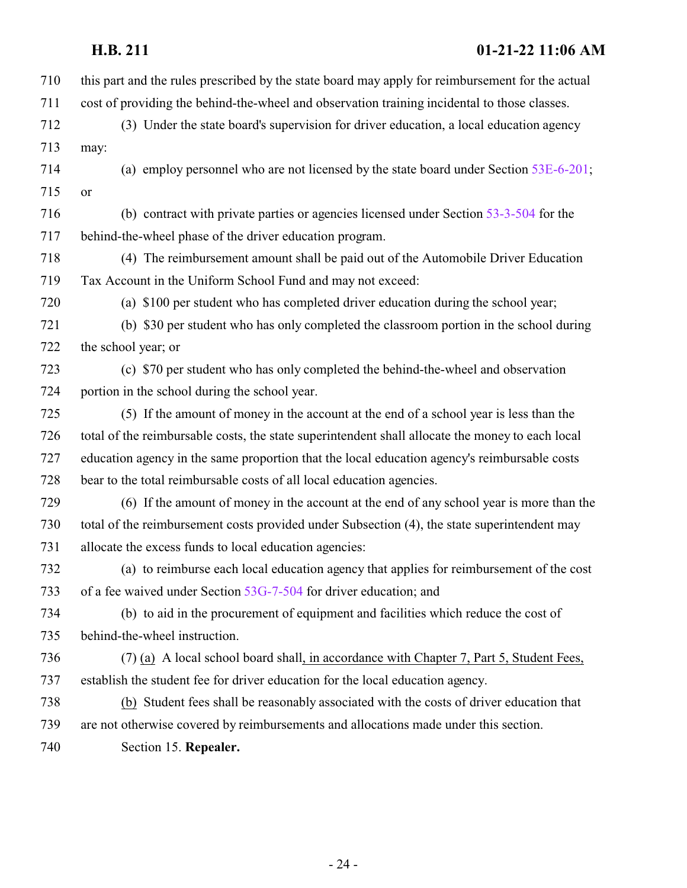| this part and the rules prescribed by the state board may apply for reimbursement for the actual<br>cost of providing the behind-the-wheel and observation training incidental to those classes.<br>(3) Under the state board's supervision for driver education, a local education agency<br>(a) employ personnel who are not licensed by the state board under Section 53E-6-201;<br>(b) contract with private parties or agencies licensed under Section 53-3-504 for the<br>behind-the-wheel phase of the driver education program.<br>(4) The reimbursement amount shall be paid out of the Automobile Driver Education<br>Tax Account in the Uniform School Fund and may not exceed:<br>(a) \$100 per student who has completed driver education during the school year;<br>(b) \$30 per student who has only completed the classroom portion in the school during<br>the school year; or<br>(c) \$70 per student who has only completed the behind-the-wheel and observation<br>portion in the school during the school year.<br>(5) If the amount of money in the account at the end of a school year is less than the |
|--------------------------------------------------------------------------------------------------------------------------------------------------------------------------------------------------------------------------------------------------------------------------------------------------------------------------------------------------------------------------------------------------------------------------------------------------------------------------------------------------------------------------------------------------------------------------------------------------------------------------------------------------------------------------------------------------------------------------------------------------------------------------------------------------------------------------------------------------------------------------------------------------------------------------------------------------------------------------------------------------------------------------------------------------------------------------------------------------------------------------------|
|                                                                                                                                                                                                                                                                                                                                                                                                                                                                                                                                                                                                                                                                                                                                                                                                                                                                                                                                                                                                                                                                                                                                |
|                                                                                                                                                                                                                                                                                                                                                                                                                                                                                                                                                                                                                                                                                                                                                                                                                                                                                                                                                                                                                                                                                                                                |
|                                                                                                                                                                                                                                                                                                                                                                                                                                                                                                                                                                                                                                                                                                                                                                                                                                                                                                                                                                                                                                                                                                                                |
|                                                                                                                                                                                                                                                                                                                                                                                                                                                                                                                                                                                                                                                                                                                                                                                                                                                                                                                                                                                                                                                                                                                                |
|                                                                                                                                                                                                                                                                                                                                                                                                                                                                                                                                                                                                                                                                                                                                                                                                                                                                                                                                                                                                                                                                                                                                |
|                                                                                                                                                                                                                                                                                                                                                                                                                                                                                                                                                                                                                                                                                                                                                                                                                                                                                                                                                                                                                                                                                                                                |
|                                                                                                                                                                                                                                                                                                                                                                                                                                                                                                                                                                                                                                                                                                                                                                                                                                                                                                                                                                                                                                                                                                                                |
|                                                                                                                                                                                                                                                                                                                                                                                                                                                                                                                                                                                                                                                                                                                                                                                                                                                                                                                                                                                                                                                                                                                                |
|                                                                                                                                                                                                                                                                                                                                                                                                                                                                                                                                                                                                                                                                                                                                                                                                                                                                                                                                                                                                                                                                                                                                |
|                                                                                                                                                                                                                                                                                                                                                                                                                                                                                                                                                                                                                                                                                                                                                                                                                                                                                                                                                                                                                                                                                                                                |
|                                                                                                                                                                                                                                                                                                                                                                                                                                                                                                                                                                                                                                                                                                                                                                                                                                                                                                                                                                                                                                                                                                                                |
|                                                                                                                                                                                                                                                                                                                                                                                                                                                                                                                                                                                                                                                                                                                                                                                                                                                                                                                                                                                                                                                                                                                                |
|                                                                                                                                                                                                                                                                                                                                                                                                                                                                                                                                                                                                                                                                                                                                                                                                                                                                                                                                                                                                                                                                                                                                |
|                                                                                                                                                                                                                                                                                                                                                                                                                                                                                                                                                                                                                                                                                                                                                                                                                                                                                                                                                                                                                                                                                                                                |
|                                                                                                                                                                                                                                                                                                                                                                                                                                                                                                                                                                                                                                                                                                                                                                                                                                                                                                                                                                                                                                                                                                                                |
|                                                                                                                                                                                                                                                                                                                                                                                                                                                                                                                                                                                                                                                                                                                                                                                                                                                                                                                                                                                                                                                                                                                                |
| total of the reimbursable costs, the state superintendent shall allocate the money to each local                                                                                                                                                                                                                                                                                                                                                                                                                                                                                                                                                                                                                                                                                                                                                                                                                                                                                                                                                                                                                               |
| education agency in the same proportion that the local education agency's reimbursable costs                                                                                                                                                                                                                                                                                                                                                                                                                                                                                                                                                                                                                                                                                                                                                                                                                                                                                                                                                                                                                                   |
| bear to the total reimbursable costs of all local education agencies.                                                                                                                                                                                                                                                                                                                                                                                                                                                                                                                                                                                                                                                                                                                                                                                                                                                                                                                                                                                                                                                          |
| (6) If the amount of money in the account at the end of any school year is more than the                                                                                                                                                                                                                                                                                                                                                                                                                                                                                                                                                                                                                                                                                                                                                                                                                                                                                                                                                                                                                                       |
| total of the reimbursement costs provided under Subsection (4), the state superintendent may                                                                                                                                                                                                                                                                                                                                                                                                                                                                                                                                                                                                                                                                                                                                                                                                                                                                                                                                                                                                                                   |
| allocate the excess funds to local education agencies:                                                                                                                                                                                                                                                                                                                                                                                                                                                                                                                                                                                                                                                                                                                                                                                                                                                                                                                                                                                                                                                                         |
| (a) to reimburse each local education agency that applies for reimbursement of the cost                                                                                                                                                                                                                                                                                                                                                                                                                                                                                                                                                                                                                                                                                                                                                                                                                                                                                                                                                                                                                                        |
| of a fee waived under Section 53G-7-504 for driver education; and                                                                                                                                                                                                                                                                                                                                                                                                                                                                                                                                                                                                                                                                                                                                                                                                                                                                                                                                                                                                                                                              |
| (b) to aid in the procurement of equipment and facilities which reduce the cost of                                                                                                                                                                                                                                                                                                                                                                                                                                                                                                                                                                                                                                                                                                                                                                                                                                                                                                                                                                                                                                             |
| behind-the-wheel instruction.                                                                                                                                                                                                                                                                                                                                                                                                                                                                                                                                                                                                                                                                                                                                                                                                                                                                                                                                                                                                                                                                                                  |
| (7) (a) A local school board shall, in accordance with Chapter 7, Part 5, Student Fees,                                                                                                                                                                                                                                                                                                                                                                                                                                                                                                                                                                                                                                                                                                                                                                                                                                                                                                                                                                                                                                        |
| establish the student fee for driver education for the local education agency.                                                                                                                                                                                                                                                                                                                                                                                                                                                                                                                                                                                                                                                                                                                                                                                                                                                                                                                                                                                                                                                 |
| (b) Student fees shall be reasonably associated with the costs of driver education that                                                                                                                                                                                                                                                                                                                                                                                                                                                                                                                                                                                                                                                                                                                                                                                                                                                                                                                                                                                                                                        |
| are not otherwise covered by reimbursements and allocations made under this section.                                                                                                                                                                                                                                                                                                                                                                                                                                                                                                                                                                                                                                                                                                                                                                                                                                                                                                                                                                                                                                           |
|                                                                                                                                                                                                                                                                                                                                                                                                                                                                                                                                                                                                                                                                                                                                                                                                                                                                                                                                                                                                                                                                                                                                |
|                                                                                                                                                                                                                                                                                                                                                                                                                                                                                                                                                                                                                                                                                                                                                                                                                                                                                                                                                                                                                                                                                                                                |